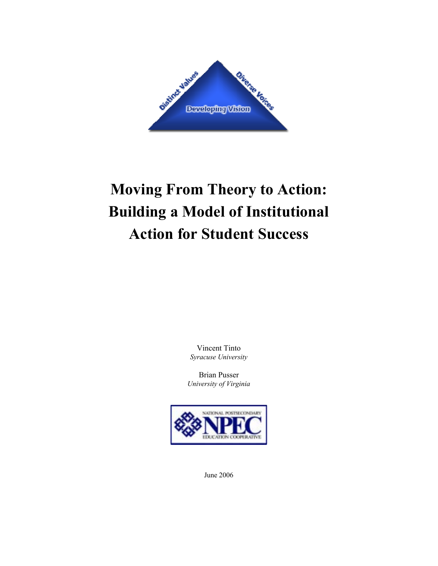

# **Moving From Theory to Action: Building a Model of Institutional Action for Student Success**

Vincent Tinto *Syracuse University* 

Brian Pusser *University of Virginia* 



June 2006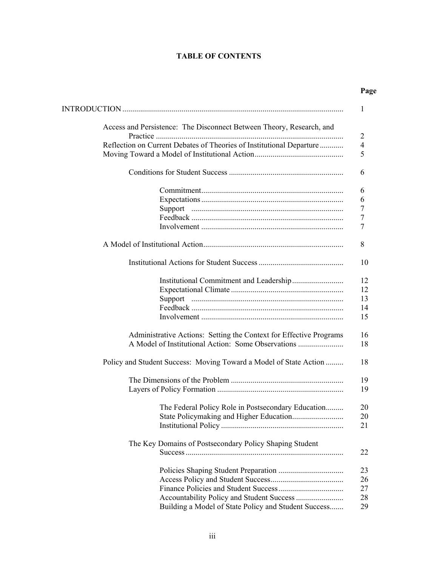# **TABLE OF CONTENTS**

| Page |
|------|
|      |

| Access and Persistence: The Disconnect Between Theory, Research, and |
|----------------------------------------------------------------------|
| Reflection on Current Debates of Theories of Institutional Departure |
|                                                                      |
|                                                                      |
|                                                                      |
|                                                                      |
|                                                                      |
|                                                                      |
|                                                                      |
|                                                                      |
|                                                                      |
|                                                                      |
|                                                                      |
|                                                                      |
|                                                                      |
|                                                                      |
| Administrative Actions: Setting the Context for Effective Programs   |
| Policy and Student Success: Moving Toward a Model of State Action    |
|                                                                      |
|                                                                      |
| The Federal Policy Role in Postsecondary Education                   |
|                                                                      |
|                                                                      |
| The Key Domains of Postsecondary Policy Shaping Student              |
|                                                                      |
|                                                                      |
|                                                                      |
|                                                                      |
| Building a Model of State Policy and Student Success                 |
|                                                                      |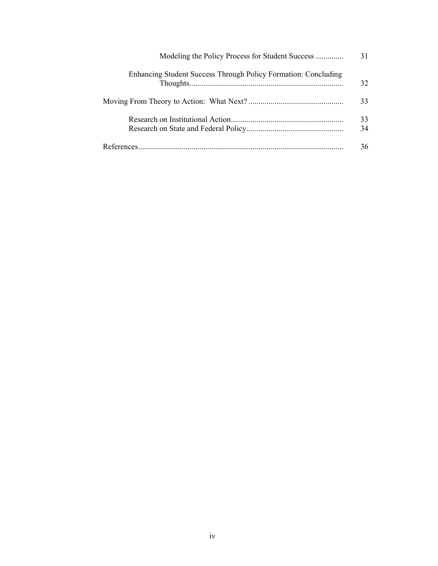|                                                                | 31  |
|----------------------------------------------------------------|-----|
| Enhancing Student Success Through Policy Formation: Concluding | 32  |
|                                                                | 33. |
|                                                                | 33  |
|                                                                | 34  |
|                                                                | 36  |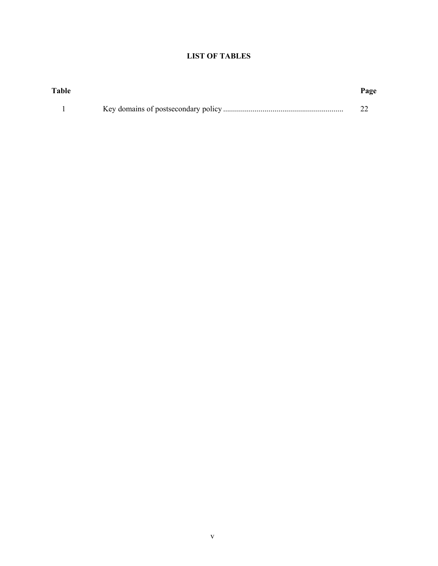# **LIST OF TABLES**

| Table | Page |
|-------|------|
|       |      |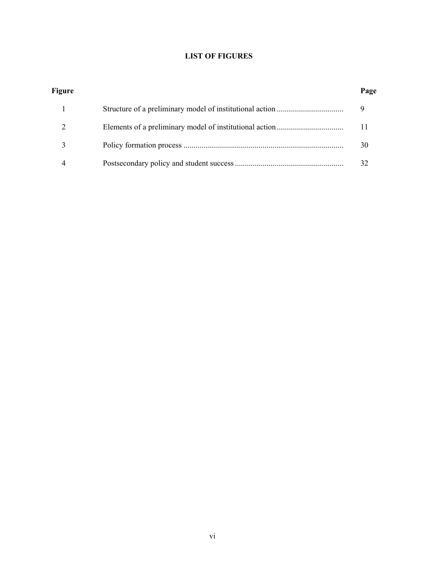# **LIST OF FIGURES**

| Figure | Page |
|--------|------|
|        |      |
|        | 11   |
|        | 30   |
|        |      |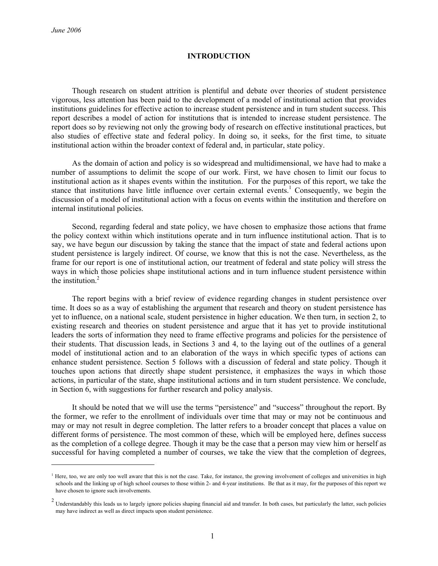1

#### **INTRODUCTION**

Though research on student attrition is plentiful and debate over theories of student persistence vigorous, less attention has been paid to the development of a model of institutional action that provides institutions guidelines for effective action to increase student persistence and in turn student success. This report describes a model of action for institutions that is intended to increase student persistence. The report does so by reviewing not only the growing body of research on effective institutional practices, but also studies of effective state and federal policy. In doing so, it seeks, for the first time, to situate institutional action within the broader context of federal and, in particular, state policy.

As the domain of action and policy is so widespread and multidimensional, we have had to make a number of assumptions to delimit the scope of our work. First, we have chosen to limit our focus to institutional action as it shapes events within the institution. For the purposes of this report, we take the stance that institutions have little influence over certain external events.<sup>1</sup> Consequently, we begin the discussion of a model of institutional action with a focus on events within the institution and therefore on internal institutional policies.

Second, regarding federal and state policy, we have chosen to emphasize those actions that frame the policy context within which institutions operate and in turn influence institutional action. That is to say, we have begun our discussion by taking the stance that the impact of state and federal actions upon student persistence is largely indirect. Of course, we know that this is not the case. Nevertheless, as the frame for our report is one of institutional action, our treatment of federal and state policy will stress the ways in which those policies shape institutional actions and in turn influence student persistence within the institution.<sup>2</sup>

The report begins with a brief review of evidence regarding changes in student persistence over time. It does so as a way of establishing the argument that research and theory on student persistence has yet to influence, on a national scale, student persistence in higher education. We then turn, in section 2, to existing research and theories on student persistence and argue that it has yet to provide institutional leaders the sorts of information they need to frame effective programs and policies for the persistence of their students. That discussion leads, in Sections 3 and 4, to the laying out of the outlines of a general model of institutional action and to an elaboration of the ways in which specific types of actions can enhance student persistence. Section 5 follows with a discussion of federal and state policy. Though it touches upon actions that directly shape student persistence, it emphasizes the ways in which those actions, in particular of the state, shape institutional actions and in turn student persistence. We conclude, in Section 6, with suggestions for further research and policy analysis.

It should be noted that we will use the terms "persistence" and "success" throughout the report. By the former, we refer to the enrollment of individuals over time that may or may not be continuous and may or may not result in degree completion. The latter refers to a broader concept that places a value on different forms of persistence. The most common of these, which will be employed here, defines success as the completion of a college degree. Though it may be the case that a person may view him or herself as successful for having completed a number of courses, we take the view that the completion of degrees,

<sup>&</sup>lt;sup>1</sup> Here, too, we are only too well aware that this is not the case. Take, for instance, the growing involvement of colleges and universities in high schools and the linking up of high school courses to those within 2- and 4-year institutions. Be that as it may, for the purposes of this report we have chosen to ignore such involvements.

<sup>&</sup>lt;sup>2</sup> Understandably this leads us to largely ignore policies shaping financial aid and transfer. In both cases, but particularly the latter, such policies may have indirect as well as direct impacts upon student persistence.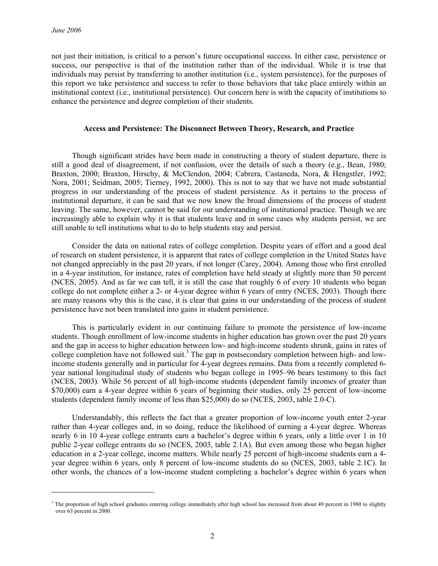l

not just their initiation, is critical to a person's future occupational success. In either case, persistence or success, our perspective is that of the institution rather than of the individual. While it is true that individuals may persist by transferring to another institution (i.e., system persistence), for the purposes of this report we take persistence and success to refer to those behaviors that take place entirely within an institutional context (i.e., institutional persistence). Our concern here is with the capacity of institutions to enhance the persistence and degree completion of their students.

#### **Access and Persistence: The Disconnect Between Theory, Research, and Practice**

Though significant strides have been made in constructing a theory of student departure, there is still a good deal of disagreement, if not confusion, over the details of such a theory (e.g., Bean, 1980; Braxton, 2000; Braxton, Hirschy, & McClendon, 2004; Cabrera, Castaneda, Nora, & Hengstler, 1992; Nora, 2001; Seidman, 2005; Tierney, 1992, 2000). This is not to say that we have not made substantial progress in our understanding of the process of student persistence. As it pertains to the process of institutional departure, it can be said that we now know the broad dimensions of the process of student leaving. The same, however, cannot be said for our understanding of institutional practice. Though we are increasingly able to explain why it is that students leave and in some cases why students persist, we are still unable to tell institutions what to do to help students stay and persist.

Consider the data on national rates of college completion. Despite years of effort and a good deal of research on student persistence, it is apparent that rates of college completion in the United States have not changed appreciably in the past 20 years, if not longer (Carey, 2004). Among those who first enrolled in a 4-year institution, for instance, rates of completion have held steady at slightly more than 50 percent (NCES, 2005). And as far we can tell, it is still the case that roughly 6 of every 10 students who began college do not complete either a 2- or 4-year degree within 6 years of entry (NCES, 2003). Though there are many reasons why this is the case, it is clear that gains in our understanding of the process of student persistence have not been translated into gains in student persistence.

This is particularly evident in our continuing failure to promote the persistence of low-income students. Though enrollment of low-income students in higher education has grown over the past 20 years and the gap in access to higher education between low- and high-income students shrunk, gains in rates of college completion have not followed suit.<sup>3</sup> The gap in postsecondary completion between high- and lowincome students generally and in particular for 4-year degrees remains. Data from a recently completed 6 year national longitudinal study of students who began college in 1995–96 bears testimony to this fact (NCES, 2003). While 56 percent of all high-income students (dependent family incomes of greater than \$70,000) earn a 4-year degree within 6 years of beginning their studies, only 25 percent of low-income students (dependent family income of less than \$25,000) do so (NCES, 2003, table 2.0-C).

Understandably, this reflects the fact that a greater proportion of low-income youth enter 2-year rather than 4-year colleges and, in so doing, reduce the likelihood of earning a 4-year degree. Whereas nearly 6 in 10 4-year college entrants earn a bachelor's degree within 6 years, only a little over 1 in 10 public 2-year college entrants do so (NCES, 2003, table 2.1A). But even among those who began higher education in a 2-year college, income matters. While nearly 25 percent of high-income students earn a 4 year degree within 6 years, only 8 percent of low-income students do so (NCES, 2003, table 2.1C). In other words, the chances of a low-income student completing a bachelor's degree within 6 years when

<sup>&</sup>lt;sup>3</sup> The proportion of high school graduates entering college immediately after high school has increased from about 49 percent in 1980 to slightly over 63 percent in 2000.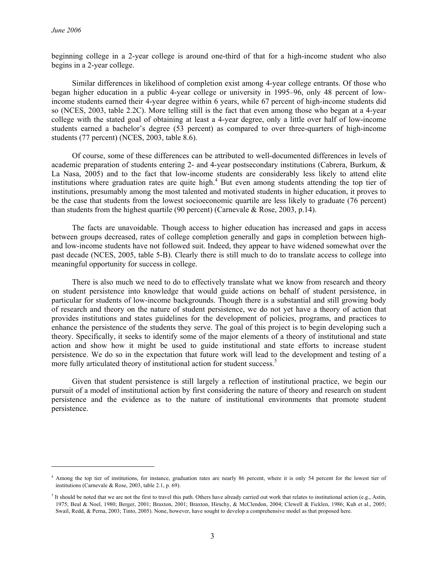l

beginning college in a 2-year college is around one-third of that for a high-income student who also begins in a 2-year college.

Similar differences in likelihood of completion exist among 4-year college entrants. Of those who began higher education in a public 4-year college or university in 1995–96, only 48 percent of lowincome students earned their 4-year degree within 6 years, while 67 percent of high-income students did so (NCES, 2003, table 2.2C). More telling still is the fact that even among those who began at a 4-year college with the stated goal of obtaining at least a 4-year degree, only a little over half of low-income students earned a bachelor's degree (53 percent) as compared to over three-quarters of high-income students (77 percent) (NCES, 2003, table 8.6).

Of course, some of these differences can be attributed to well-documented differences in levels of academic preparation of students entering 2- and 4-year postsecondary institutions (Cabrera, Burkum, & La Nasa, 2005) and to the fact that low-income students are considerably less likely to attend elite institutions where graduation rates are quite high.<sup>4</sup> But even among students attending the top tier of institutions, presumably among the most talented and motivated students in higher education, it proves to be the case that students from the lowest socioeconomic quartile are less likely to graduate (76 percent) than students from the highest quartile (90 percent) (Carnevale & Rose, 2003, p.14).

The facts are unavoidable. Though access to higher education has increased and gaps in access between groups decreased, rates of college completion generally and gaps in completion between highand low-income students have not followed suit. Indeed, they appear to have widened somewhat over the past decade (NCES, 2005, table 5-B). Clearly there is still much to do to translate access to college into meaningful opportunity for success in college.

There is also much we need to do to effectively translate what we know from research and theory on student persistence into knowledge that would guide actions on behalf of student persistence, in particular for students of low-income backgrounds. Though there is a substantial and still growing body of research and theory on the nature of student persistence, we do not yet have a theory of action that provides institutions and states guidelines for the development of policies, programs, and practices to enhance the persistence of the students they serve. The goal of this project is to begin developing such a theory. Specifically, it seeks to identify some of the major elements of a theory of institutional and state action and show how it might be used to guide institutional and state efforts to increase student persistence. We do so in the expectation that future work will lead to the development and testing of a more fully articulated theory of institutional action for student success.<sup>5</sup>

Given that student persistence is still largely a reflection of institutional practice, we begin our pursuit of a model of institutional action by first considering the nature of theory and research on student persistence and the evidence as to the nature of institutional environments that promote student persistence.

<sup>&</sup>lt;sup>4</sup> Among the top tier of institutions, for instance, graduation rates are nearly 86 percent, where it is only 54 percent for the lowest tier of institutions (Carnevale & Rose, 2003, table 2.1, p. 69).

It should be noted that we are not the first to travel this path. Others have already carried out work that relates to institutional action (e.g., Astin, 1975; Beal & Noel, 1980; Berger, 2001; Braxton, 2001; Braxton, Hirschy, & McClendon, 2004; Clewell & Ficklen, 1986; Kuh et al., 2005; Swail, Redd, & Perna, 2003; Tinto, 2005). None, however, have sought to develop a comprehensive model as that proposed here.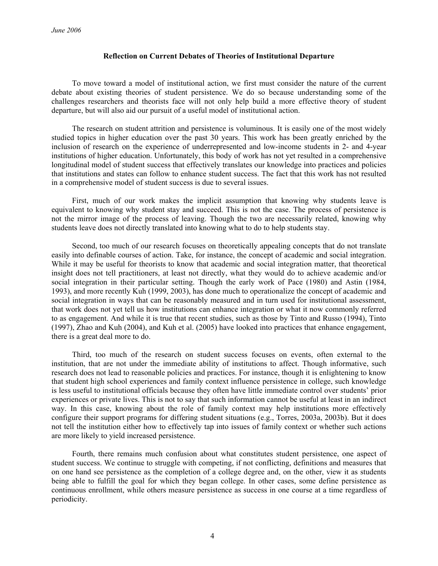### **Reflection on Current Debates of Theories of Institutional Departure**

To move toward a model of institutional action, we first must consider the nature of the current debate about existing theories of student persistence. We do so because understanding some of the challenges researchers and theorists face will not only help build a more effective theory of student departure, but will also aid our pursuit of a useful model of institutional action.

The research on student attrition and persistence is voluminous. It is easily one of the most widely studied topics in higher education over the past 30 years. This work has been greatly enriched by the inclusion of research on the experience of underrepresented and low-income students in 2- and 4-year institutions of higher education. Unfortunately, this body of work has not yet resulted in a comprehensive longitudinal model of student success that effectively translates our knowledge into practices and policies that institutions and states can follow to enhance student success. The fact that this work has not resulted in a comprehensive model of student success is due to several issues.

First, much of our work makes the implicit assumption that knowing why students leave is equivalent to knowing why student stay and succeed. This is not the case. The process of persistence is not the mirror image of the process of leaving. Though the two are necessarily related, knowing why students leave does not directly translated into knowing what to do to help students stay.

Second, too much of our research focuses on theoretically appealing concepts that do not translate easily into definable courses of action. Take, for instance, the concept of academic and social integration. While it may be useful for theorists to know that academic and social integration matter, that theoretical insight does not tell practitioners, at least not directly, what they would do to achieve academic and/or social integration in their particular setting. Though the early work of Pace (1980) and Astin (1984, 1993), and more recently Kuh (1999, 2003), has done much to operationalize the concept of academic and social integration in ways that can be reasonably measured and in turn used for institutional assessment, that work does not yet tell us how institutions can enhance integration or what it now commonly referred to as engagement. And while it is true that recent studies, such as those by Tinto and Russo (1994), Tinto (1997), Zhao and Kuh (2004), and Kuh et al. (2005) have looked into practices that enhance engagement, there is a great deal more to do.

Third, too much of the research on student success focuses on events, often external to the institution, that are not under the immediate ability of institutions to affect. Though informative, such research does not lead to reasonable policies and practices. For instance, though it is enlightening to know that student high school experiences and family context influence persistence in college, such knowledge is less useful to institutional officials because they often have little immediate control over students' prior experiences or private lives. This is not to say that such information cannot be useful at least in an indirect way. In this case, knowing about the role of family context may help institutions more effectively configure their support programs for differing student situations (e.g., Torres, 2003a, 2003b). But it does not tell the institution either how to effectively tap into issues of family context or whether such actions are more likely to yield increased persistence.

Fourth, there remains much confusion about what constitutes student persistence, one aspect of student success. We continue to struggle with competing, if not conflicting, definitions and measures that on one hand see persistence as the completion of a college degree and, on the other, view it as students being able to fulfill the goal for which they began college. In other cases, some define persistence as continuous enrollment, while others measure persistence as success in one course at a time regardless of periodicity.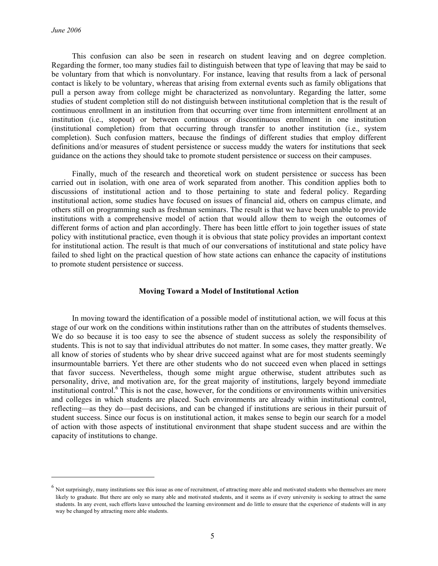l

This confusion can also be seen in research on student leaving and on degree completion. Regarding the former, too many studies fail to distinguish between that type of leaving that may be said to be voluntary from that which is nonvoluntary. For instance, leaving that results from a lack of personal contact is likely to be voluntary, whereas that arising from external events such as family obligations that pull a person away from college might be characterized as nonvoluntary. Regarding the latter, some studies of student completion still do not distinguish between institutional completion that is the result of continuous enrollment in an institution from that occurring over time from intermittent enrollment at an institution (i.e., stopout) or between continuous or discontinuous enrollment in one institution (institutional completion) from that occurring through transfer to another institution (i.e., system completion). Such confusion matters, because the findings of different studies that employ different definitions and/or measures of student persistence or success muddy the waters for institutions that seek guidance on the actions they should take to promote student persistence or success on their campuses.

Finally, much of the research and theoretical work on student persistence or success has been carried out in isolation, with one area of work separated from another. This condition applies both to discussions of institutional action and to those pertaining to state and federal policy. Regarding institutional action, some studies have focused on issues of financial aid, others on campus climate, and others still on programming such as freshman seminars. The result is that we have been unable to provide institutions with a comprehensive model of action that would allow them to weigh the outcomes of different forms of action and plan accordingly. There has been little effort to join together issues of state policy with institutional practice, even though it is obvious that state policy provides an important context for institutional action. The result is that much of our conversations of institutional and state policy have failed to shed light on the practical question of how state actions can enhance the capacity of institutions to promote student persistence or success.

# **Moving Toward a Model of Institutional Action**

In moving toward the identification of a possible model of institutional action, we will focus at this stage of our work on the conditions within institutions rather than on the attributes of students themselves. We do so because it is too easy to see the absence of student success as solely the responsibility of students. This is not to say that individual attributes do not matter. In some cases, they matter greatly. We all know of stories of students who by shear drive succeed against what are for most students seemingly insurmountable barriers. Yet there are other students who do not succeed even when placed in settings that favor success. Nevertheless, though some might argue otherwise, student attributes such as personality, drive, and motivation are, for the great majority of institutions, largely beyond immediate institutional control.6 This is not the case, however, for the conditions or environments within universities and colleges in which students are placed. Such environments are already within institutional control, reflecting—as they do—past decisions, and can be changed if institutions are serious in their pursuit of student success. Since our focus is on institutional action, it makes sense to begin our search for a model of action with those aspects of institutional environment that shape student success and are within the capacity of institutions to change.

 $<sup>6</sup>$  Not surprisingly, many institutions see this issue as one of recruitment, of attracting more able and motivated students who themselves are more</sup> likely to graduate. But there are only so many able and motivated students, and it seems as if every university is seeking to attract the same students. In any event, such efforts leave untouched the learning environment and do little to ensure that the experience of students will in any way be changed by attracting more able students.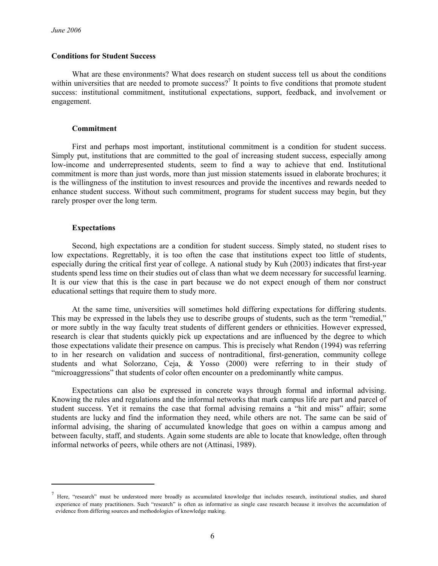#### **Conditions for Student Success**

What are these environments? What does research on student success tell us about the conditions within universities that are needed to promote success?<sup>7</sup> It points to five conditions that promote student success: institutional commitment, institutional expectations, support, feedback, and involvement or engagement.

#### **Commitment**

First and perhaps most important, institutional commitment is a condition for student success. Simply put, institutions that are committed to the goal of increasing student success, especially among low-income and underrepresented students, seem to find a way to achieve that end. Institutional commitment is more than just words, more than just mission statements issued in elaborate brochures; it is the willingness of the institution to invest resources and provide the incentives and rewards needed to enhance student success. Without such commitment, programs for student success may begin, but they rarely prosper over the long term.

#### **Expectations**

l

Second, high expectations are a condition for student success. Simply stated, no student rises to low expectations. Regrettably, it is too often the case that institutions expect too little of students, especially during the critical first year of college. A national study by Kuh (2003) indicates that first-year students spend less time on their studies out of class than what we deem necessary for successful learning. It is our view that this is the case in part because we do not expect enough of them nor construct educational settings that require them to study more.

At the same time, universities will sometimes hold differing expectations for differing students. This may be expressed in the labels they use to describe groups of students, such as the term "remedial," or more subtly in the way faculty treat students of different genders or ethnicities. However expressed, research is clear that students quickly pick up expectations and are influenced by the degree to which those expectations validate their presence on campus. This is precisely what Rendon (1994) was referring to in her research on validation and success of nontraditional, first-generation, community college students and what Solorzano, Ceja, & Yosso (2000) were referring to in their study of "microaggressions" that students of color often encounter on a predominantly white campus.

Expectations can also be expressed in concrete ways through formal and informal advising. Knowing the rules and regulations and the informal networks that mark campus life are part and parcel of student success. Yet it remains the case that formal advising remains a "hit and miss" affair; some students are lucky and find the information they need, while others are not. The same can be said of informal advising, the sharing of accumulated knowledge that goes on within a campus among and between faculty, staff, and students. Again some students are able to locate that knowledge, often through informal networks of peers, while others are not (Attinasi, 1989).

 $<sup>7</sup>$  Here, "research" must be understood more broadly as accumulated knowledge that includes research, institutional studies, and shared</sup> experience of many practitioners. Such "research" is often as informative as single case research because it involves the accumulation of evidence from differing sources and methodologies of knowledge making.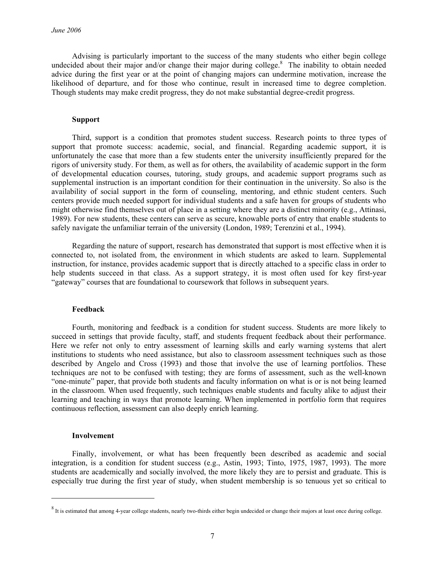Advising is particularly important to the success of the many students who either begin college undecided about their major and/or change their major during college.<sup>8</sup> The inability to obtain needed advice during the first year or at the point of changing majors can undermine motivation, increase the likelihood of departure, and for those who continue, result in increased time to degree completion. Though students may make credit progress, they do not make substantial degree-credit progress.

#### **Support**

Third, support is a condition that promotes student success. Research points to three types of support that promote success: academic, social, and financial. Regarding academic support, it is unfortunately the case that more than a few students enter the university insufficiently prepared for the rigors of university study. For them, as well as for others, the availability of academic support in the form of developmental education courses, tutoring, study groups, and academic support programs such as supplemental instruction is an important condition for their continuation in the university. So also is the availability of social support in the form of counseling, mentoring, and ethnic student centers. Such centers provide much needed support for individual students and a safe haven for groups of students who might otherwise find themselves out of place in a setting where they are a distinct minority (e.g., Attinasi, 1989). For new students, these centers can serve as secure, knowable ports of entry that enable students to safely navigate the unfamiliar terrain of the university (London, 1989; Terenzini et al., 1994).

Regarding the nature of support, research has demonstrated that support is most effective when it is connected to, not isolated from, the environment in which students are asked to learn. Supplemental instruction, for instance, provides academic support that is directly attached to a specific class in order to help students succeed in that class. As a support strategy, it is most often used for key first-year "gateway" courses that are foundational to coursework that follows in subsequent years.

#### **Feedback**

Fourth, monitoring and feedback is a condition for student success. Students are more likely to succeed in settings that provide faculty, staff, and students frequent feedback about their performance. Here we refer not only to entry assessment of learning skills and early warning systems that alert institutions to students who need assistance, but also to classroom assessment techniques such as those described by Angelo and Cross (1993) and those that involve the use of learning portfolios. These techniques are not to be confused with testing; they are forms of assessment, such as the well-known "one-minute" paper, that provide both students and faculty information on what is or is not being learned in the classroom. When used frequently, such techniques enable students and faculty alike to adjust their learning and teaching in ways that promote learning. When implemented in portfolio form that requires continuous reflection, assessment can also deeply enrich learning.

#### **Involvement**

1

Finally, involvement, or what has been frequently been described as academic and social integration, is a condition for student success (e.g., Astin, 1993; Tinto, 1975, 1987, 1993). The more students are academically and socially involved, the more likely they are to persist and graduate. This is especially true during the first year of study, when student membership is so tenuous yet so critical to

 $8$  It is estimated that among 4-year college students, nearly two-thirds either begin undecided or change their majors at least once during college.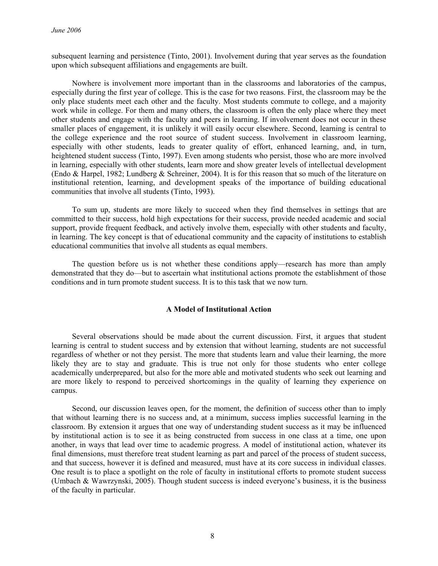subsequent learning and persistence (Tinto, 2001). Involvement during that year serves as the foundation upon which subsequent affiliations and engagements are built.

Nowhere is involvement more important than in the classrooms and laboratories of the campus, especially during the first year of college. This is the case for two reasons. First, the classroom may be the only place students meet each other and the faculty. Most students commute to college, and a majority work while in college. For them and many others, the classroom is often the only place where they meet other students and engage with the faculty and peers in learning. If involvement does not occur in these smaller places of engagement, it is unlikely it will easily occur elsewhere. Second, learning is central to the college experience and the root source of student success. Involvement in classroom learning, especially with other students, leads to greater quality of effort, enhanced learning, and, in turn, heightened student success (Tinto, 1997). Even among students who persist, those who are more involved in learning, especially with other students, learn more and show greater levels of intellectual development (Endo & Harpel, 1982; Lundberg & Schreiner, 2004). It is for this reason that so much of the literature on institutional retention, learning, and development speaks of the importance of building educational communities that involve all students (Tinto, 1993).

To sum up, students are more likely to succeed when they find themselves in settings that are committed to their success, hold high expectations for their success, provide needed academic and social support, provide frequent feedback, and actively involve them, especially with other students and faculty, in learning. The key concept is that of educational community and the capacity of institutions to establish educational communities that involve all students as equal members.

The question before us is not whether these conditions apply—research has more than amply demonstrated that they do—but to ascertain what institutional actions promote the establishment of those conditions and in turn promote student success. It is to this task that we now turn.

#### **A Model of Institutional Action**

Several observations should be made about the current discussion. First, it argues that student learning is central to student success and by extension that without learning, students are not successful regardless of whether or not they persist. The more that students learn and value their learning, the more likely they are to stay and graduate. This is true not only for those students who enter college academically underprepared, but also for the more able and motivated students who seek out learning and are more likely to respond to perceived shortcomings in the quality of learning they experience on campus.

Second, our discussion leaves open, for the moment, the definition of success other than to imply that without learning there is no success and, at a minimum, success implies successful learning in the classroom. By extension it argues that one way of understanding student success as it may be influenced by institutional action is to see it as being constructed from success in one class at a time, one upon another, in ways that lead over time to academic progress. A model of institutional action, whatever its final dimensions, must therefore treat student learning as part and parcel of the process of student success, and that success, however it is defined and measured, must have at its core success in individual classes. One result is to place a spotlight on the role of faculty in institutional efforts to promote student success (Umbach & Wawrzynski, 2005). Though student success is indeed everyone's business, it is the business of the faculty in particular.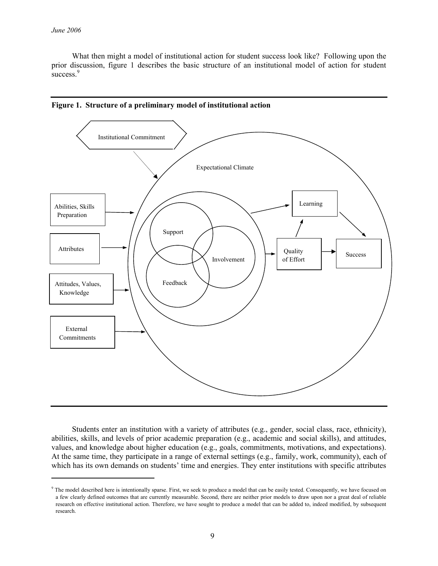1

What then might a model of institutional action for student success look like? Following upon the prior discussion, figure 1 describes the basic structure of an institutional model of action for student success. $9$ 



**Figure 1. Structure of a preliminary model of institutional action** 

Students enter an institution with a variety of attributes (e.g., gender, social class, race, ethnicity), abilities, skills, and levels of prior academic preparation (e.g., academic and social skills), and attitudes, values, and knowledge about higher education (e.g., goals, commitments, motivations, and expectations). At the same time, they participate in a range of external settings (e.g., family, work, community), each of which has its own demands on students' time and energies. They enter institutions with specific attributes

 $\degree$  The model described here is intentionally sparse. First, we seek to produce a model that can be easily tested. Consequently, we have focused on a few clearly defined outcomes that are currently measurable. Second, there are neither prior models to draw upon nor a great deal of reliable research on effective institutional action. Therefore, we have sought to produce a model that can be added to, indeed modified, by subsequent research.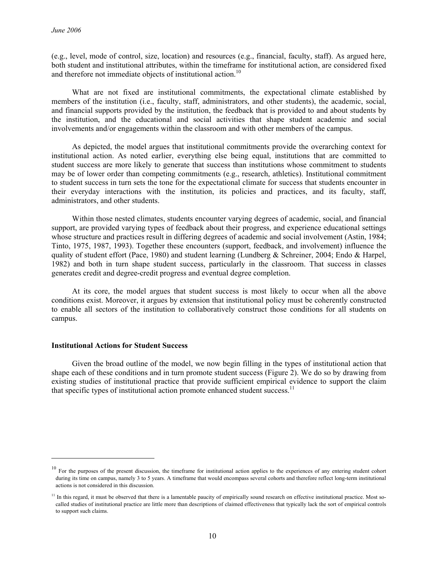(e.g., level, mode of control, size, location) and resources (e.g., financial, faculty, staff). As argued here, both student and institutional attributes, within the timeframe for institutional action, are considered fixed and therefore not immediate objects of institutional action.<sup>10</sup>

What are not fixed are institutional commitments, the expectational climate established by members of the institution (i.e., faculty, staff, administrators, and other students), the academic, social, and financial supports provided by the institution, the feedback that is provided to and about students by the institution, and the educational and social activities that shape student academic and social involvements and/or engagements within the classroom and with other members of the campus.

As depicted, the model argues that institutional commitments provide the overarching context for institutional action. As noted earlier, everything else being equal, institutions that are committed to student success are more likely to generate that success than institutions whose commitment to students may be of lower order than competing commitments (e.g., research, athletics). Institutional commitment to student success in turn sets the tone for the expectational climate for success that students encounter in their everyday interactions with the institution, its policies and practices, and its faculty, staff, administrators, and other students.

Within those nested climates, students encounter varying degrees of academic, social, and financial support, are provided varying types of feedback about their progress, and experience educational settings whose structure and practices result in differing degrees of academic and social involvement (Astin, 1984; Tinto, 1975, 1987, 1993). Together these encounters (support, feedback, and involvement) influence the quality of student effort (Pace, 1980) and student learning (Lundberg & Schreiner, 2004; Endo & Harpel, 1982) and both in turn shape student success, particularly in the classroom. That success in classes generates credit and degree-credit progress and eventual degree completion.

At its core, the model argues that student success is most likely to occur when all the above conditions exist. Moreover, it argues by extension that institutional policy must be coherently constructed to enable all sectors of the institution to collaboratively construct those conditions for all students on campus.

#### **Institutional Actions for Student Success**

1

Given the broad outline of the model, we now begin filling in the types of institutional action that shape each of these conditions and in turn promote student success (Figure 2). We do so by drawing from existing studies of institutional practice that provide sufficient empirical evidence to support the claim that specific types of institutional action promote enhanced student success.<sup>11</sup>

<sup>&</sup>lt;sup>10</sup> For the purposes of the present discussion, the timeframe for institutional action applies to the experiences of any entering student cohort during its time on campus, namely 3 to 5 years. A timeframe that would encompass several cohorts and therefore reflect long-term institutional actions is not considered in this discussion.

 $11$  In this regard, it must be observed that there is a lamentable paucity of empirically sound research on effective institutional practice. Most socalled studies of institutional practice are little more than descriptions of claimed effectiveness that typically lack the sort of empirical controls to support such claims.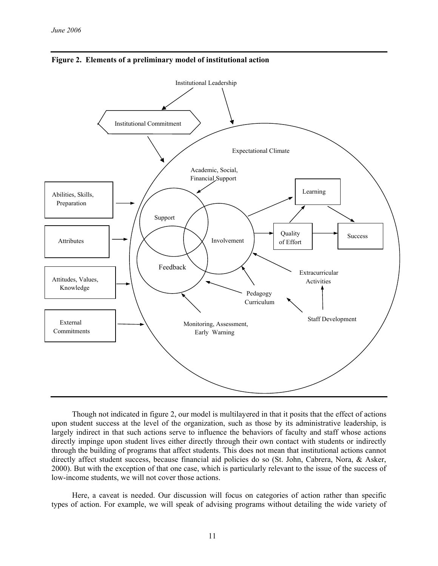



Though not indicated in figure 2, our model is multilayered in that it posits that the effect of actions upon student success at the level of the organization, such as those by its administrative leadership, is largely indirect in that such actions serve to influence the behaviors of faculty and staff whose actions directly impinge upon student lives either directly through their own contact with students or indirectly through the building of programs that affect students. This does not mean that institutional actions cannot directly affect student success, because financial aid policies do so (St. John, Cabrera, Nora, & Asker, 2000). But with the exception of that one case, which is particularly relevant to the issue of the success of low-income students, we will not cover those actions.

Here, a caveat is needed. Our discussion will focus on categories of action rather than specific types of action. For example, we will speak of advising programs without detailing the wide variety of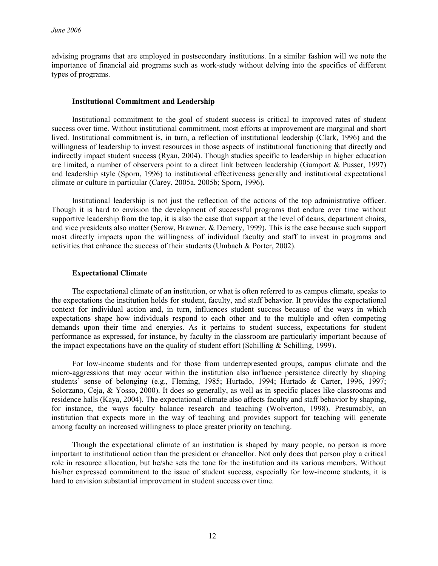advising programs that are employed in postsecondary institutions. In a similar fashion will we note the importance of financial aid programs such as work-study without delving into the specifics of different types of programs.

# **Institutional Commitment and Leadership**

Institutional commitment to the goal of student success is critical to improved rates of student success over time. Without institutional commitment, most efforts at improvement are marginal and short lived. Institutional commitment is, in turn, a reflection of institutional leadership (Clark, 1996) and the willingness of leadership to invest resources in those aspects of institutional functioning that directly and indirectly impact student success (Ryan, 2004). Though studies specific to leadership in higher education are limited, a number of observers point to a direct link between leadership (Gumport & Pusser, 1997) and leadership style (Sporn, 1996) to institutional effectiveness generally and institutional expectational climate or culture in particular (Carey, 2005a, 2005b; Sporn, 1996).

Institutional leadership is not just the reflection of the actions of the top administrative officer. Though it is hard to envision the development of successful programs that endure over time without supportive leadership from the top, it is also the case that support at the level of deans, department chairs, and vice presidents also matter (Serow, Brawner, & Demery, 1999). This is the case because such support most directly impacts upon the willingness of individual faculty and staff to invest in programs and activities that enhance the success of their students (Umbach & Porter, 2002).

# **Expectational Climate**

The expectational climate of an institution, or what is often referred to as campus climate, speaks to the expectations the institution holds for student, faculty, and staff behavior. It provides the expectational context for individual action and, in turn, influences student success because of the ways in which expectations shape how individuals respond to each other and to the multiple and often competing demands upon their time and energies. As it pertains to student success, expectations for student performance as expressed, for instance, by faculty in the classroom are particularly important because of the impact expectations have on the quality of student effort (Schilling & Schilling, 1999).

For low-income students and for those from underrepresented groups, campus climate and the micro-aggressions that may occur within the institution also influence persistence directly by shaping students' sense of belonging (e.g., Fleming, 1985; Hurtado, 1994; Hurtado & Carter, 1996, 1997; Solorzano, Ceja, & Yosso, 2000). It does so generally, as well as in specific places like classrooms and residence halls (Kaya, 2004). The expectational climate also affects faculty and staff behavior by shaping, for instance, the ways faculty balance research and teaching (Wolverton, 1998). Presumably, an institution that expects more in the way of teaching and provides support for teaching will generate among faculty an increased willingness to place greater priority on teaching.

Though the expectational climate of an institution is shaped by many people, no person is more important to institutional action than the president or chancellor. Not only does that person play a critical role in resource allocation, but he/she sets the tone for the institution and its various members. Without his/her expressed commitment to the issue of student success, especially for low-income students, it is hard to envision substantial improvement in student success over time.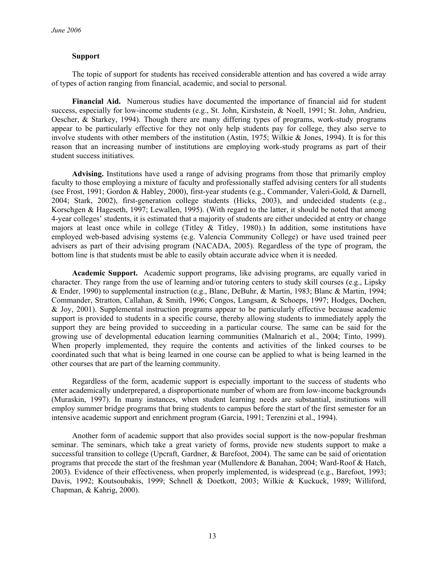# **Support**

The topic of support for students has received considerable attention and has covered a wide array of types of action ranging from financial, academic, and social to personal.

**Financial Aid.** Numerous studies have documented the importance of financial aid for student success, especially for low-income students (e.g., St. John, Kirshstein, & Noell, 1991; St. John, Andrieu, Oescher, & Starkey, 1994). Though there are many differing types of programs, work-study programs appear to be particularly effective for they not only help students pay for college, they also serve to involve students with other members of the institution (Astin, 1975; Wilkie & Jones, 1994). It is for this reason that an increasing number of institutions are employing work-study programs as part of their student success initiatives.

**Advising.** Institutions have used a range of advising programs from those that primarily employ faculty to those employing a mixture of faculty and professionally staffed advising centers for all students (see Frost, 1991; Gordon & Habley, 2000), first-year students (e.g., Commander, Valeri-Gold, & Darnell, 2004; Stark, 2002), first-generation college students (Hicks, 2003), and undecided students (e.g., Korschgen & Hageseth, 1997; Lewallen, 1995). (With regard to the latter, it should be noted that among 4-year colleges' students, it is estimated that a majority of students are either undecided at entry or change majors at least once while in college (Titley  $\&$  Titley, 1980).) In addition, some institutions have employed web-based advising systems (e.g. Valencia Community College) or have used trained peer advisers as part of their advising program (NACADA, 2005). Regardless of the type of program, the bottom line is that students must be able to easily obtain accurate advice when it is needed.

**Academic Support.** Academic support programs, like advising programs, are equally varied in character. They range from the use of learning and/or tutoring centers to study skill courses (e.g., Lipsky & Ender, 1990) to supplemental instruction (e.g., Blanc, DeBuhr, & Martin, 1983; Blanc & Martin, 1994; Commander, Stratton, Callahan, & Smith, 1996; Congos, Langsam, & Schoeps, 1997; Hodges, Dochen, & Joy, 2001). Supplemental instruction programs appear to be particularly effective because academic support is provided to students in a specific course, thereby allowing students to immediately apply the support they are being provided to succeeding in a particular course. The same can be said for the growing use of developmental education learning communities (Malnarich et al., 2004; Tinto, 1999). When properly implemented, they require the contents and activities of the linked courses to be coordinated such that what is being learned in one course can be applied to what is being learned in the other courses that are part of the learning community.

Regardless of the form, academic support is especially important to the success of students who enter academically underprepared, a disproportionate number of whom are from low-income backgrounds (Muraskin, 1997). In many instances, when student learning needs are substantial, institutions will employ summer bridge programs that bring students to campus before the start of the first semester for an intensive academic support and enrichment program (Garcia, 1991; Terenzini et al., 1994).

Another form of academic support that also provides social support is the now-popular freshman seminar. The seminars, which take a great variety of forms, provide new students support to make a successful transition to college (Upcraft, Gardner, & Barefoot, 2004). The same can be said of orientation programs that precede the start of the freshman year (Mullendore & Banahan, 2004; Ward-Roof & Hatch, 2003). Evidence of their effectiveness, when properly implemented, is widespread (e.g., Barefoot, 1993; Davis, 1992; Koutsoubakis, 1999; Schnell & Doetkott, 2003; Wilkie & Kuckuck, 1989; Williford, Chapman, & Kahrig, 2000).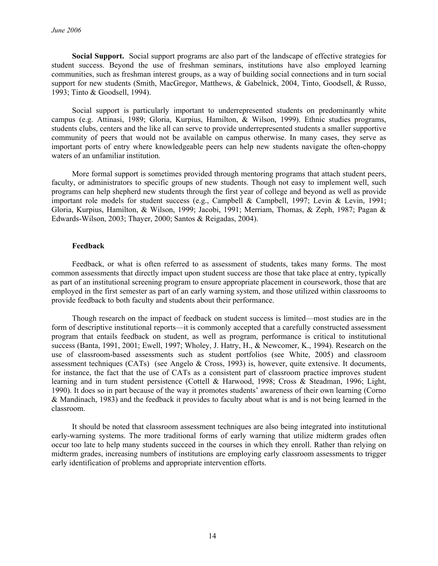**Social Support.** Social support programs are also part of the landscape of effective strategies for student success. Beyond the use of freshman seminars, institutions have also employed learning communities, such as freshman interest groups, as a way of building social connections and in turn social support for new students (Smith, MacGregor, Matthews, & Gabelnick, 2004, Tinto, Goodsell, & Russo, 1993; Tinto & Goodsell, 1994).

Social support is particularly important to underrepresented students on predominantly white campus (e.g. Attinasi, 1989; Gloria, Kurpius, Hamilton, & Wilson, 1999). Ethnic studies programs, students clubs, centers and the like all can serve to provide underrepresented students a smaller supportive community of peers that would not be available on campus otherwise. In many cases, they serve as important ports of entry where knowledgeable peers can help new students navigate the often-choppy waters of an unfamiliar institution.

More formal support is sometimes provided through mentoring programs that attach student peers, faculty, or administrators to specific groups of new students. Though not easy to implement well, such programs can help shepherd new students through the first year of college and beyond as well as provide important role models for student success (e.g., Campbell & Campbell, 1997; Levin & Levin, 1991; Gloria, Kurpius, Hamilton, & Wilson, 1999; Jacobi, 1991; Merriam, Thomas, & Zeph, 1987; Pagan & Edwards-Wilson, 2003; Thayer, 2000; Santos & Reigadas, 2004).

# **Feedback**

Feedback, or what is often referred to as assessment of students, takes many forms. The most common assessments that directly impact upon student success are those that take place at entry, typically as part of an institutional screening program to ensure appropriate placement in coursework, those that are employed in the first semester as part of an early warning system, and those utilized within classrooms to provide feedback to both faculty and students about their performance.

Though research on the impact of feedback on student success is limited—most studies are in the form of descriptive institutional reports—it is commonly accepted that a carefully constructed assessment program that entails feedback on student, as well as program, performance is critical to institutional success (Banta, 1991, 2001; Ewell, 1997; Wholey, J. Hatry, H., & Newcomer, K., 1994). Research on the use of classroom-based assessments such as student portfolios (see White, 2005) and classroom assessment techniques (CATs) (see Angelo & Cross, 1993) is, however, quite extensive. It documents, for instance, the fact that the use of CATs as a consistent part of classroom practice improves student learning and in turn student persistence (Cottell & Harwood, 1998; Cross & Steadman, 1996; Light, 1990). It does so in part because of the way it promotes students' awareness of their own learning (Corno & Mandinach, 1983) and the feedback it provides to faculty about what is and is not being learned in the classroom.

It should be noted that classroom assessment techniques are also being integrated into institutional early-warning systems. The more traditional forms of early warning that utilize midterm grades often occur too late to help many students succeed in the courses in which they enroll. Rather than relying on midterm grades, increasing numbers of institutions are employing early classroom assessments to trigger early identification of problems and appropriate intervention efforts.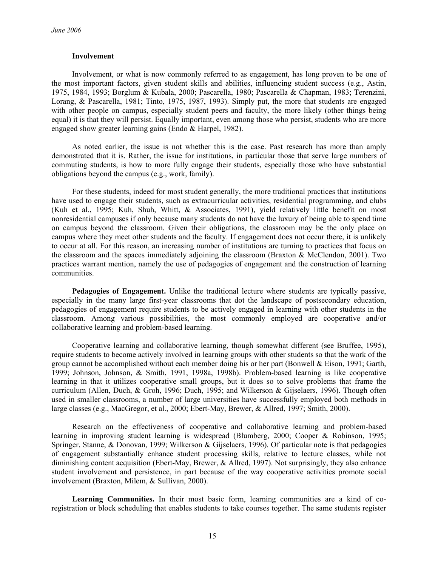### **Involvement**

Involvement, or what is now commonly referred to as engagement, has long proven to be one of the most important factors, given student skills and abilities, influencing student success (e.g., Astin, 1975, 1984, 1993; Borglum & Kubala, 2000; Pascarella, 1980; Pascarella & Chapman, 1983; Terenzini, Lorang, & Pascarella, 1981; Tinto, 1975, 1987, 1993). Simply put, the more that students are engaged with other people on campus, especially student peers and faculty, the more likely (other things being equal) it is that they will persist. Equally important, even among those who persist, students who are more engaged show greater learning gains (Endo & Harpel, 1982).

As noted earlier, the issue is not whether this is the case. Past research has more than amply demonstrated that it is. Rather, the issue for institutions, in particular those that serve large numbers of commuting students, is how to more fully engage their students, especially those who have substantial obligations beyond the campus (e.g., work, family).

For these students, indeed for most student generally, the more traditional practices that institutions have used to engage their students, such as extracurricular activities, residential programming, and clubs (Kuh et al., 1995; Kuh, Shuh, Whitt, & Associates, 1991), yield relatively little benefit on most nonresidential campuses if only because many students do not have the luxury of being able to spend time on campus beyond the classroom. Given their obligations, the classroom may be the only place on campus where they meet other students and the faculty. If engagement does not occur there, it is unlikely to occur at all. For this reason, an increasing number of institutions are turning to practices that focus on the classroom and the spaces immediately adjoining the classroom (Braxton & McClendon, 2001). Two practices warrant mention, namely the use of pedagogies of engagement and the construction of learning communities.

Pedagogies of Engagement. Unlike the traditional lecture where students are typically passive, especially in the many large first-year classrooms that dot the landscape of postsecondary education, pedagogies of engagement require students to be actively engaged in learning with other students in the classroom. Among various possibilities, the most commonly employed are cooperative and/or collaborative learning and problem-based learning.

Cooperative learning and collaborative learning, though somewhat different (see Bruffee, 1995), require students to become actively involved in learning groups with other students so that the work of the group cannot be accomplished without each member doing his or her part (Bonwell & Eison, 1991; Garth, 1999; Johnson, Johnson, & Smith, 1991, 1998a, 1998b). Problem-based learning is like cooperative learning in that it utilizes cooperative small groups, but it does so to solve problems that frame the curriculum (Allen, Duch, & Groh, 1996; Duch, 1995; and Wilkerson & Gijselaers, 1996). Though often used in smaller classrooms, a number of large universities have successfully employed both methods in large classes (e.g., MacGregor, et al., 2000; Ebert-May, Brewer, & Allred, 1997; Smith, 2000).

Research on the effectiveness of cooperative and collaborative learning and problem-based learning in improving student learning is widespread (Blumberg, 2000; Cooper & Robinson, 1995; Springer, Stanne, & Donovan, 1999; Wilkerson & Gijselaers, 1996). Of particular note is that pedagogies of engagement substantially enhance student processing skills, relative to lecture classes, while not diminishing content acquisition (Ebert-May, Brewer, & Allred, 1997). Not surprisingly, they also enhance student involvement and persistence, in part because of the way cooperative activities promote social involvement (Braxton, Milem, & Sullivan, 2000).

**Learning Communities.** In their most basic form, learning communities are a kind of coregistration or block scheduling that enables students to take courses together. The same students register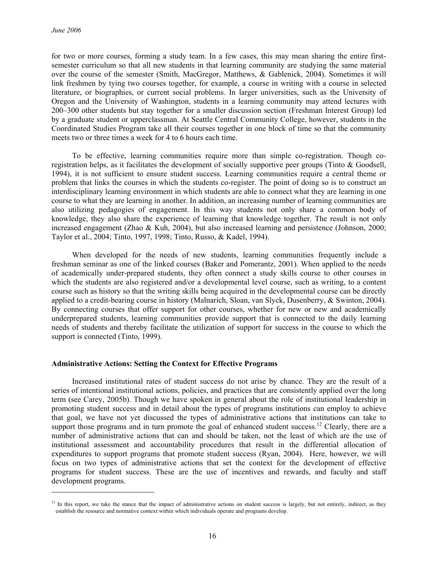l

for two or more courses, forming a study team. In a few cases, this may mean sharing the entire firstsemester curriculum so that all new students in that learning community are studying the same material over the course of the semester (Smith, MacGregor, Matthews, & Gablenick, 2004). Sometimes it will link freshmen by tying two courses together, for example, a course in writing with a course in selected literature, or biographies, or current social problems. In larger universities, such as the University of Oregon and the University of Washington, students in a learning community may attend lectures with 200–300 other students but stay together for a smaller discussion section (Freshman Interest Group) led by a graduate student or upperclassman. At Seattle Central Community College, however, students in the Coordinated Studies Program take all their courses together in one block of time so that the community meets two or three times a week for 4 to 6 hours each time.

To be effective, learning communities require more than simple co-registration. Though coregistration helps, as it facilitates the development of socially supportive peer groups (Tinto & Goodsell, 1994), it is not sufficient to ensure student success. Learning communities require a central theme or problem that links the courses in which the students co-register. The point of doing so is to construct an interdisciplinary learning environment in which students are able to connect what they are learning in one course to what they are learning in another. In addition, an increasing number of learning communities are also utilizing pedagogies of engagement. In this way students not only share a common body of knowledge, they also share the experience of learning that knowledge together. The result is not only increased engagement (Zhao & Kuh, 2004), but also increased learning and persistence (Johnson, 2000; Taylor et al., 2004; Tinto, 1997, 1998; Tinto, Russo, & Kadel, 1994).

When developed for the needs of new students, learning communities frequently include a freshman seminar as one of the linked courses (Baker and Pomerantz, 2001). When applied to the needs of academically under-prepared students, they often connect a study skills course to other courses in which the students are also registered and/or a developmental level course, such as writing, to a content course such as history so that the writing skills being acquired in the developmental course can be directly applied to a credit-bearing course in history (Malnarich, Sloan, van Slyck, Dusenberry, & Swinton, 2004). By connecting courses that offer support for other courses, whether for new or new and academically underprepared students, learning communities provide support that is connected to the daily learning needs of students and thereby facilitate the utilization of support for success in the course to which the support is connected (Tinto, 1999).

# **Administrative Actions: Setting the Context for Effective Programs**

Increased institutional rates of student success do not arise by chance. They are the result of a series of intentional institutional actions, policies, and practices that are consistently applied over the long term (see Carey, 2005b). Though we have spoken in general about the role of institutional leadership in promoting student success and in detail about the types of programs institutions can employ to achieve that goal, we have not yet discussed the types of administrative actions that institutions can take to support those programs and in turn promote the goal of enhanced student success.<sup>12</sup> Clearly, there are a number of administrative actions that can and should be taken, not the least of which are the use of institutional assessment and accountability procedures that result in the differential allocation of expenditures to support programs that promote student success (Ryan, 2004). Here, however, we will focus on two types of administrative actions that set the context for the development of effective programs for student success. These are the use of incentives and rewards, and faculty and staff development programs.

 $12$  In this report, we take the stance that the impact of administrative actions on student success is largely, but not entirely, indirect, as they establish the resource and normative context within which individuals operate and programs develop.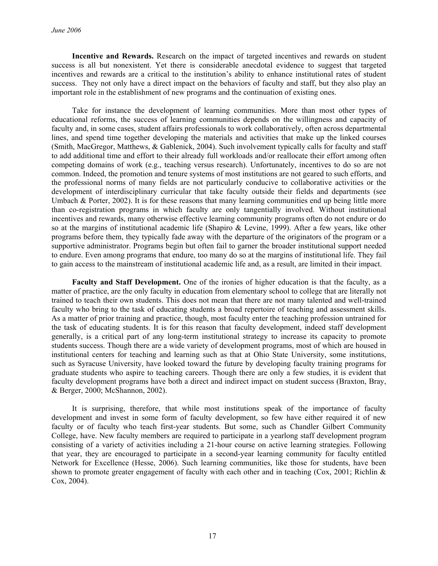**Incentive and Rewards.** Research on the impact of targeted incentives and rewards on student success is all but nonexistent. Yet there is considerable anecdotal evidence to suggest that targeted incentives and rewards are a critical to the institution's ability to enhance institutional rates of student success. They not only have a direct impact on the behaviors of faculty and staff, but they also play an important role in the establishment of new programs and the continuation of existing ones.

Take for instance the development of learning communities. More than most other types of educational reforms, the success of learning communities depends on the willingness and capacity of faculty and, in some cases, student affairs professionals to work collaboratively, often across departmental lines, and spend time together developing the materials and activities that make up the linked courses (Smith, MacGregor, Matthews, & Gablenick, 2004). Such involvement typically calls for faculty and staff to add additional time and effort to their already full workloads and/or reallocate their effort among often competing domains of work (e.g., teaching versus research). Unfortunately, incentives to do so are not common. Indeed, the promotion and tenure systems of most institutions are not geared to such efforts, and the professional norms of many fields are not particularly conducive to collaborative activities or the development of interdisciplinary curricular that take faculty outside their fields and departments (see Umbach & Porter, 2002). It is for these reasons that many learning communities end up being little more than co-registration programs in which faculty are only tangentially involved. Without institutional incentives and rewards, many otherwise effective learning community programs often do not endure or do so at the margins of institutional academic life (Shapiro & Levine, 1999). After a few years, like other programs before them, they typically fade away with the departure of the originators of the program or a supportive administrator. Programs begin but often fail to garner the broader institutional support needed to endure. Even among programs that endure, too many do so at the margins of institutional life. They fail to gain access to the mainstream of institutional academic life and, as a result, are limited in their impact.

**Faculty and Staff Development.** One of the ironies of higher education is that the faculty, as a matter of practice, are the only faculty in education from elementary school to college that are literally not trained to teach their own students. This does not mean that there are not many talented and well-trained faculty who bring to the task of educating students a broad repertoire of teaching and assessment skills. As a matter of prior training and practice, though, most faculty enter the teaching profession untrained for the task of educating students. It is for this reason that faculty development, indeed staff development generally, is a critical part of any long-term institutional strategy to increase its capacity to promote students success. Though there are a wide variety of development programs, most of which are housed in institutional centers for teaching and learning such as that at Ohio State University, some institutions, such as Syracuse University, have looked toward the future by developing faculty training programs for graduate students who aspire to teaching careers. Though there are only a few studies, it is evident that faculty development programs have both a direct and indirect impact on student success (Braxton, Bray, & Berger, 2000; McShannon, 2002).

It is surprising, therefore, that while most institutions speak of the importance of faculty development and invest in some form of faculty development, so few have either required it of new faculty or of faculty who teach first-year students. But some, such as Chandler Gilbert Community College, have. New faculty members are required to participate in a yearlong staff development program consisting of a variety of activities including a 21-hour course on active learning strategies. Following that year, they are encouraged to participate in a second-year learning community for faculty entitled Network for Excellence (Hesse, 2006). Such learning communities, like those for students, have been shown to promote greater engagement of faculty with each other and in teaching (Cox, 2001; Richlin & Cox, 2004).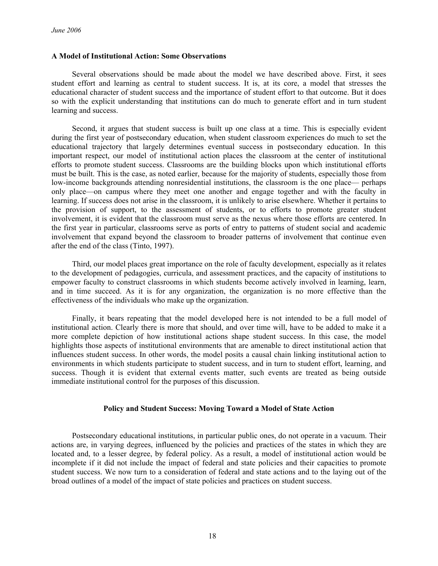#### **A Model of Institutional Action: Some Observations**

Several observations should be made about the model we have described above. First, it sees student effort and learning as central to student success. It is, at its core, a model that stresses the educational character of student success and the importance of student effort to that outcome. But it does so with the explicit understanding that institutions can do much to generate effort and in turn student learning and success.

Second, it argues that student success is built up one class at a time. This is especially evident during the first year of postsecondary education, when student classroom experiences do much to set the educational trajectory that largely determines eventual success in postsecondary education. In this important respect, our model of institutional action places the classroom at the center of institutional efforts to promote student success. Classrooms are the building blocks upon which institutional efforts must be built. This is the case, as noted earlier, because for the majority of students, especially those from low-income backgrounds attending nonresidential institutions, the classroom is the one place— perhaps only place—on campus where they meet one another and engage together and with the faculty in learning. If success does not arise in the classroom, it is unlikely to arise elsewhere. Whether it pertains to the provision of support, to the assessment of students, or to efforts to promote greater student involvement, it is evident that the classroom must serve as the nexus where those efforts are centered. In the first year in particular, classrooms serve as ports of entry to patterns of student social and academic involvement that expand beyond the classroom to broader patterns of involvement that continue even after the end of the class (Tinto, 1997).

Third, our model places great importance on the role of faculty development, especially as it relates to the development of pedagogies, curricula, and assessment practices, and the capacity of institutions to empower faculty to construct classrooms in which students become actively involved in learning, learn, and in time succeed. As it is for any organization, the organization is no more effective than the effectiveness of the individuals who make up the organization.

Finally, it bears repeating that the model developed here is not intended to be a full model of institutional action. Clearly there is more that should, and over time will, have to be added to make it a more complete depiction of how institutional actions shape student success. In this case, the model highlights those aspects of institutional environments that are amenable to direct institutional action that influences student success. In other words, the model posits a causal chain linking institutional action to environments in which students participate to student success, and in turn to student effort, learning, and success. Though it is evident that external events matter, such events are treated as being outside immediate institutional control for the purposes of this discussion.

# **Policy and Student Success: Moving Toward a Model of State Action**

Postsecondary educational institutions, in particular public ones, do not operate in a vacuum. Their actions are, in varying degrees, influenced by the policies and practices of the states in which they are located and, to a lesser degree, by federal policy. As a result, a model of institutional action would be incomplete if it did not include the impact of federal and state policies and their capacities to promote student success. We now turn to a consideration of federal and state actions and to the laying out of the broad outlines of a model of the impact of state policies and practices on student success.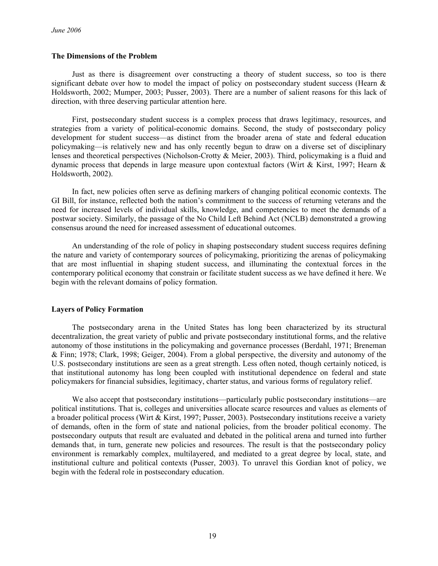### **The Dimensions of the Problem**

Just as there is disagreement over constructing a theory of student success, so too is there significant debate over how to model the impact of policy on postsecondary student success (Hearn  $\&$ Holdsworth, 2002; Mumper, 2003; Pusser, 2003). There are a number of salient reasons for this lack of direction, with three deserving particular attention here.

First, postsecondary student success is a complex process that draws legitimacy, resources, and strategies from a variety of political-economic domains. Second, the study of postsecondary policy development for student success—as distinct from the broader arena of state and federal education policymaking—is relatively new and has only recently begun to draw on a diverse set of disciplinary lenses and theoretical perspectives (Nicholson-Crotty & Meier, 2003). Third, policymaking is a fluid and dynamic process that depends in large measure upon contextual factors (Wirt & Kirst, 1997; Hearn  $\&$ Holdsworth, 2002).

In fact, new policies often serve as defining markers of changing political economic contexts. The GI Bill, for instance, reflected both the nation's commitment to the success of returning veterans and the need for increased levels of individual skills, knowledge, and competencies to meet the demands of a postwar society. Similarly, the passage of the No Child Left Behind Act (NCLB) demonstrated a growing consensus around the need for increased assessment of educational outcomes.

An understanding of the role of policy in shaping postsecondary student success requires defining the nature and variety of contemporary sources of policymaking, prioritizing the arenas of policymaking that are most influential in shaping student success, and illuminating the contextual forces in the contemporary political economy that constrain or facilitate student success as we have defined it here. We begin with the relevant domains of policy formation.

# **Layers of Policy Formation**

The postsecondary arena in the United States has long been characterized by its structural decentralization, the great variety of public and private postsecondary institutional forms, and the relative autonomy of those institutions in the policymaking and governance processes (Berdahl, 1971; Breneman & Finn; 1978; Clark, 1998; Geiger, 2004). From a global perspective, the diversity and autonomy of the U.S. postsecondary institutions are seen as a great strength. Less often noted, though certainly noticed, is that institutional autonomy has long been coupled with institutional dependence on federal and state policymakers for financial subsidies, legitimacy, charter status, and various forms of regulatory relief.

We also accept that postsecondary institutions—particularly public postsecondary institutions—are political institutions. That is, colleges and universities allocate scarce resources and values as elements of a broader political process (Wirt & Kirst, 1997; Pusser, 2003). Postsecondary institutions receive a variety of demands, often in the form of state and national policies, from the broader political economy. The postsecondary outputs that result are evaluated and debated in the political arena and turned into further demands that, in turn, generate new policies and resources. The result is that the postsecondary policy environment is remarkably complex, multilayered, and mediated to a great degree by local, state, and institutional culture and political contexts (Pusser, 2003). To unravel this Gordian knot of policy, we begin with the federal role in postsecondary education.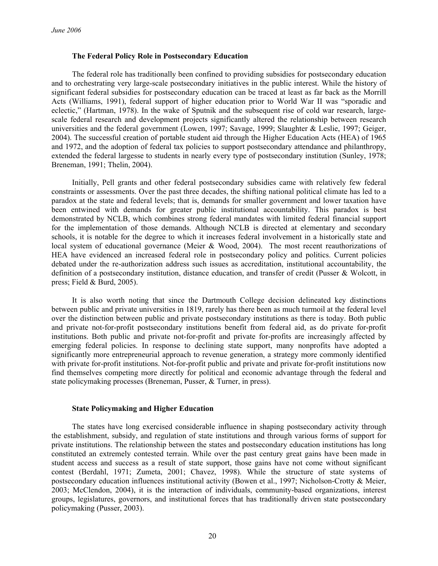#### **The Federal Policy Role in Postsecondary Education**

The federal role has traditionally been confined to providing subsidies for postsecondary education and to orchestrating very large-scale postsecondary initiatives in the public interest. While the history of significant federal subsidies for postsecondary education can be traced at least as far back as the Morrill Acts (Williams, 1991), federal support of higher education prior to World War II was "sporadic and eclectic," (Hartman, 1978). In the wake of Sputnik and the subsequent rise of cold war research, largescale federal research and development projects significantly altered the relationship between research universities and the federal government (Lowen, 1997; Savage, 1999; Slaughter & Leslie, 1997; Geiger, 2004). The successful creation of portable student aid through the Higher Education Acts (HEA) of 1965 and 1972, and the adoption of federal tax policies to support postsecondary attendance and philanthropy, extended the federal largesse to students in nearly every type of postsecondary institution (Sunley, 1978; Breneman, 1991; Thelin, 2004).

Initially, Pell grants and other federal postsecondary subsidies came with relatively few federal constraints or assessments. Over the past three decades, the shifting national political climate has led to a paradox at the state and federal levels; that is, demands for smaller government and lower taxation have been entwined with demands for greater public institutional accountability. This paradox is best demonstrated by NCLB, which combines strong federal mandates with limited federal financial support for the implementation of those demands. Although NCLB is directed at elementary and secondary schools, it is notable for the degree to which it increases federal involvement in a historically state and local system of educational governance (Meier & Wood, 2004). The most recent reauthorizations of HEA have evidenced an increased federal role in postsecondary policy and politics. Current policies debated under the re-authorization address such issues as accreditation, institutional accountability, the definition of a postsecondary institution, distance education, and transfer of credit (Pusser & Wolcott, in press; Field & Burd, 2005).

It is also worth noting that since the Dartmouth College decision delineated key distinctions between public and private universities in 1819, rarely has there been as much turmoil at the federal level over the distinction between public and private postsecondary institutions as there is today. Both public and private not-for-profit postsecondary institutions benefit from federal aid, as do private for-profit institutions. Both public and private not-for-profit and private for-profits are increasingly affected by emerging federal policies. In response to declining state support, many nonprofits have adopted a significantly more entrepreneurial approach to revenue generation, a strategy more commonly identified with private for-profit institutions. Not-for-profit public and private and private for-profit institutions now find themselves competing more directly for political and economic advantage through the federal and state policymaking processes (Breneman, Pusser, & Turner, in press).

# **State Policymaking and Higher Education**

The states have long exercised considerable influence in shaping postsecondary activity through the establishment, subsidy, and regulation of state institutions and through various forms of support for private institutions. The relationship between the states and postsecondary education institutions has long constituted an extremely contested terrain. While over the past century great gains have been made in student access and success as a result of state support, those gains have not come without significant contest (Berdahl, 1971; Zumeta, 2001; Chavez, 1998). While the structure of state systems of postsecondary education influences institutional activity (Bowen et al., 1997; Nicholson-Crotty & Meier, 2003; McClendon, 2004), it is the interaction of individuals, community-based organizations, interest groups, legislatures, governors, and institutional forces that has traditionally driven state postsecondary policymaking (Pusser, 2003).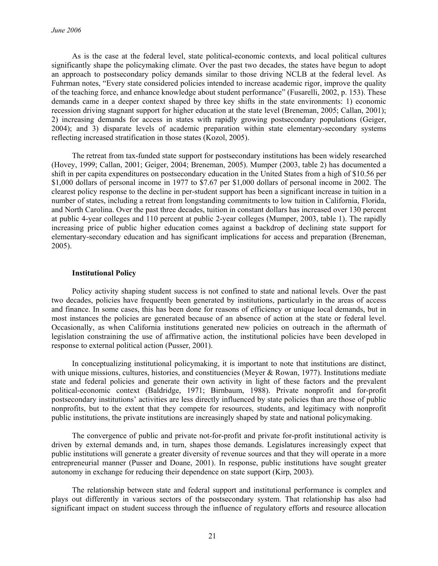As is the case at the federal level, state political-economic contexts, and local political cultures significantly shape the policymaking climate. Over the past two decades, the states have begun to adopt an approach to postsecondary policy demands similar to those driving NCLB at the federal level. As Fuhrman notes, "Every state considered policies intended to increase academic rigor, improve the quality of the teaching force, and enhance knowledge about student performance" (Fusarelli, 2002, p. 153). These demands came in a deeper context shaped by three key shifts in the state environments: 1) economic recession driving stagnant support for higher education at the state level (Breneman, 2005; Callan, 2001); 2) increasing demands for access in states with rapidly growing postsecondary populations (Geiger, 2004); and 3) disparate levels of academic preparation within state elementary-secondary systems reflecting increased stratification in those states (Kozol, 2005).

The retreat from tax-funded state support for postsecondary institutions has been widely researched (Hovey, 1999; Callan, 2001; Geiger, 2004; Breneman, 2005). Mumper (2003, table 2) has documented a shift in per capita expenditures on postsecondary education in the United States from a high of \$10.56 per \$1,000 dollars of personal income in 1977 to \$7.67 per \$1,000 dollars of personal income in 2002. The clearest policy response to the decline in per-student support has been a significant increase in tuition in a number of states, including a retreat from longstanding commitments to low tuition in California, Florida, and North Carolina. Over the past three decades, tuition in constant dollars has increased over 130 percent at public 4-year colleges and 110 percent at public 2-year colleges (Mumper, 2003, table 1). The rapidly increasing price of public higher education comes against a backdrop of declining state support for elementary-secondary education and has significant implications for access and preparation (Breneman, 2005).

# **Institutional Policy**

Policy activity shaping student success is not confined to state and national levels. Over the past two decades, policies have frequently been generated by institutions, particularly in the areas of access and finance. In some cases, this has been done for reasons of efficiency or unique local demands, but in most instances the policies are generated because of an absence of action at the state or federal level. Occasionally, as when California institutions generated new policies on outreach in the aftermath of legislation constraining the use of affirmative action, the institutional policies have been developed in response to external political action (Pusser, 2001).

In conceptualizing institutional policymaking, it is important to note that institutions are distinct, with unique missions, cultures, histories, and constituencies (Meyer & Rowan, 1977). Institutions mediate state and federal policies and generate their own activity in light of these factors and the prevalent political-economic context (Baldridge, 1971; Birnbaum, 1988). Private nonprofit and for-profit postsecondary institutions' activities are less directly influenced by state policies than are those of public nonprofits, but to the extent that they compete for resources, students, and legitimacy with nonprofit public institutions, the private institutions are increasingly shaped by state and national policymaking.

The convergence of public and private not-for-profit and private for-profit institutional activity is driven by external demands and, in turn, shapes those demands. Legislatures increasingly expect that public institutions will generate a greater diversity of revenue sources and that they will operate in a more entrepreneurial manner (Pusser and Doane, 2001). In response, public institutions have sought greater autonomy in exchange for reducing their dependence on state support (Kirp, 2003).

The relationship between state and federal support and institutional performance is complex and plays out differently in various sectors of the postsecondary system. That relationship has also had significant impact on student success through the influence of regulatory efforts and resource allocation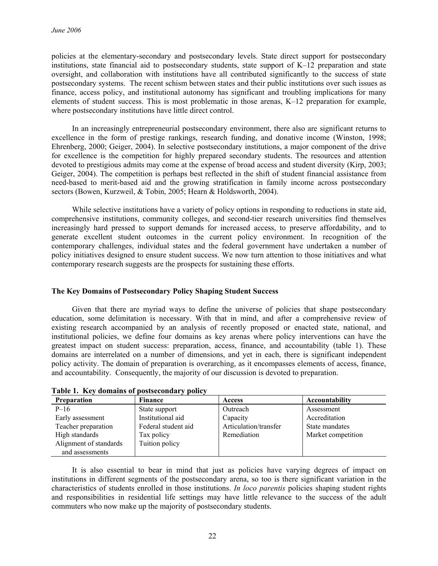policies at the elementary-secondary and postsecondary levels. State direct support for postsecondary institutions, state financial aid to postsecondary students, state support of K–12 preparation and state oversight, and collaboration with institutions have all contributed significantly to the success of state postsecondary systems. The recent schism between states and their public institutions over such issues as finance, access policy, and institutional autonomy has significant and troubling implications for many elements of student success. This is most problematic in those arenas, K–12 preparation for example, where postsecondary institutions have little direct control.

In an increasingly entrepreneurial postsecondary environment, there also are significant returns to excellence in the form of prestige rankings, research funding, and donative income (Winston, 1998; Ehrenberg, 2000; Geiger, 2004). In selective postsecondary institutions, a major component of the drive for excellence is the competition for highly prepared secondary students. The resources and attention devoted to prestigious admits may come at the expense of broad access and student diversity (Kirp, 2003; Geiger, 2004). The competition is perhaps best reflected in the shift of student financial assistance from need-based to merit-based aid and the growing stratification in family income across postsecondary sectors (Bowen, Kurzweil, & Tobin, 2005; Hearn & Holdsworth, 2004).

While selective institutions have a variety of policy options in responding to reductions in state aid, comprehensive institutions, community colleges, and second-tier research universities find themselves increasingly hard pressed to support demands for increased access, to preserve affordability, and to generate excellent student outcomes in the current policy environment. In recognition of the contemporary challenges, individual states and the federal government have undertaken a number of policy initiatives designed to ensure student success. We now turn attention to those initiatives and what contemporary research suggests are the prospects for sustaining these efforts.

# **The Key Domains of Postsecondary Policy Shaping Student Success**

Given that there are myriad ways to define the universe of policies that shape postsecondary education, some delimitation is necessary. With that in mind, and after a comprehensive review of existing research accompanied by an analysis of recently proposed or enacted state, national, and institutional policies, we define four domains as key arenas where policy interventions can have the greatest impact on student success: preparation, access, finance, and accountability (table 1). These domains are interrelated on a number of dimensions, and yet in each, there is significant independent policy activity. The domain of preparation is overarching, as it encompasses elements of access, finance, and accountability. Consequently, the majority of our discussion is devoted to preparation.

| <b>Preparation</b>     | Finance             | <b>Access</b>         | Accountability     |
|------------------------|---------------------|-----------------------|--------------------|
| $P-16$                 | State support       | Outreach              | Assessment         |
| Early assessment       | Institutional aid   | Capacity              | Accreditation      |
| Teacher preparation    | Federal student aid | Articulation/transfer | State mandates     |
| High standards         | Tax policy          | Remediation           | Market competition |
| Alignment of standards | Tuition policy      |                       |                    |
| and assessments        |                     |                       |                    |

**Table 1. Key domains of postsecondary policy** 

It is also essential to bear in mind that just as policies have varying degrees of impact on institutions in different segments of the postsecondary arena, so too is there significant variation in the characteristics of students enrolled in those institutions. *In loco parentis* policies shaping student rights and responsibilities in residential life settings may have little relevance to the success of the adult commuters who now make up the majority of postsecondary students.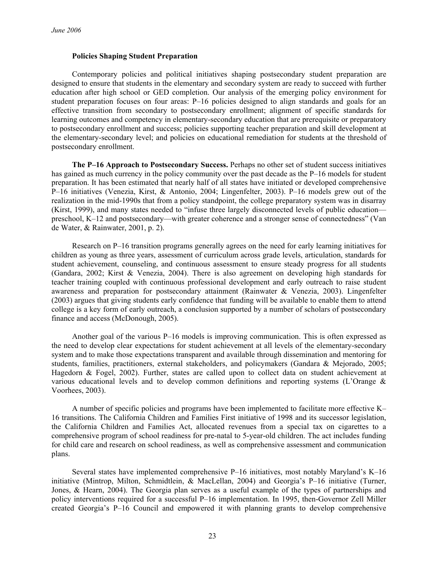### **Policies Shaping Student Preparation**

Contemporary policies and political initiatives shaping postsecondary student preparation are designed to ensure that students in the elementary and secondary system are ready to succeed with further education after high school or GED completion. Our analysis of the emerging policy environment for student preparation focuses on four areas: P–16 policies designed to align standards and goals for an effective transition from secondary to postsecondary enrollment; alignment of specific standards for learning outcomes and competency in elementary-secondary education that are prerequisite or preparatory to postsecondary enrollment and success; policies supporting teacher preparation and skill development at the elementary-secondary level; and policies on educational remediation for students at the threshold of postsecondary enrollment.

**The P–16 Approach to Postsecondary Success.** Perhaps no other set of student success initiatives has gained as much currency in the policy community over the past decade as the P–16 models for student preparation. It has been estimated that nearly half of all states have initiated or developed comprehensive P–16 initiatives (Venezia, Kirst, & Antonio, 2004; Lingenfelter, 2003). P–16 models grew out of the realization in the mid-1990s that from a policy standpoint, the college preparatory system was in disarray (Kirst, 1999), and many states needed to "infuse three largely disconnected levels of public education preschool, K–12 and postsecondary—with greater coherence and a stronger sense of connectedness" (Van de Water, & Rainwater, 2001, p. 2).

Research on P–16 transition programs generally agrees on the need for early learning initiatives for children as young as three years, assessment of curriculum across grade levels, articulation, standards for student achievement, counseling, and continuous assessment to ensure steady progress for all students (Gandara, 2002; Kirst & Venezia, 2004). There is also agreement on developing high standards for teacher training coupled with continuous professional development and early outreach to raise student awareness and preparation for postsecondary attainment (Rainwater & Venezia, 2003). Lingenfelter (2003) argues that giving students early confidence that funding will be available to enable them to attend college is a key form of early outreach, a conclusion supported by a number of scholars of postsecondary finance and access (McDonough, 2005).

Another goal of the various P–16 models is improving communication. This is often expressed as the need to develop clear expectations for student achievement at all levels of the elementary-secondary system and to make those expectations transparent and available through dissemination and mentoring for students, families, practitioners, external stakeholders, and policymakers (Gandara & Mejorado, 2005; Hagedorn & Fogel, 2002). Further, states are called upon to collect data on student achievement at various educational levels and to develop common definitions and reporting systems (L'Orange & Voorhees, 2003).

A number of specific policies and programs have been implemented to facilitate more effective K– 16 transitions. The California Children and Families First initiative of 1998 and its successor legislation, the California Children and Families Act, allocated revenues from a special tax on cigarettes to a comprehensive program of school readiness for pre-natal to 5-year-old children. The act includes funding for child care and research on school readiness, as well as comprehensive assessment and communication plans.

Several states have implemented comprehensive P–16 initiatives, most notably Maryland's K–16 initiative (Mintrop, Milton, Schmidtlein, & MacLellan, 2004) and Georgia's P–16 initiative (Turner, Jones, & Hearn, 2004). The Georgia plan serves as a useful example of the types of partnerships and policy interventions required for a successful P–16 implementation. In 1995, then-Governor Zell Miller created Georgia's P–16 Council and empowered it with planning grants to develop comprehensive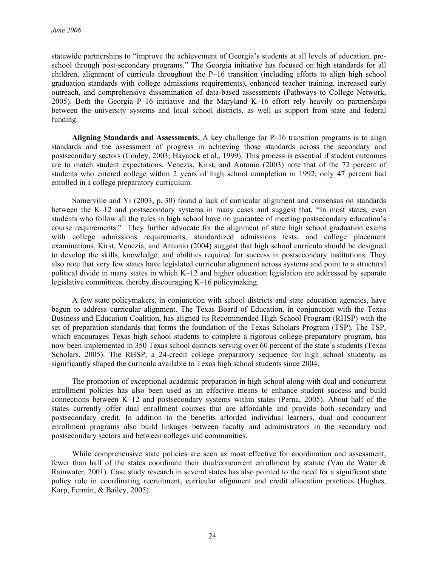statewide partnerships to "improve the achievement of Georgia's students at all levels of education, preschool through post-secondary programs." The Georgia initiative has focused on high standards for all children, alignment of curricula throughout the P–16 transition (including efforts to align high school graduation standards with college admissions requirements), enhanced teacher training, increased early outreach, and comprehensive dissemination of data-based assessments (Pathways to College Network, 2005). Both the Georgia P–16 initiative and the Maryland K–16 effort rely heavily on partnerships between the university systems and local school districts, as well as support from state and federal funding.

**Aligning Standards and Assessments.** A key challenge for P–16 transition programs is to align standards and the assessment of progress in achieving those standards across the secondary and postsecondary sectors (Conley, 2003; Haycock et al., 1999). This process is essential if student outcomes are to match student expectations. Venezia, Kirst, and Antonio (2003) note that of the 72 percent of students who entered college within 2 years of high school completion in 1992, only 47 percent had enrolled in a college preparatory curriculum.

Somerville and Yi (2003, p. 30) found a lack of curricular alignment and consensus on standards between the K–12 and postsecondary systems in many cases and suggest that, "In most states, even students who follow all the rules in high school have no guarantee of meeting postsecondary education's course requirements." They further advocate for the alignment of state high school graduation exams with college admissions requirements, standardized admissions tests, and college placement examinations. Kirst, Venezia, and Antonio (2004) suggest that high school curricula should be designed to develop the skills, knowledge, and abilities required for success in postsecondary institutions. They also note that very few states have legislated curricular alignment across systems and point to a structural political divide in many states in which K–12 and higher education legislation are addressed by separate legislative committees, thereby discouraging K–16 policymaking.

A few state policymakers, in conjunction with school districts and state education agencies, have begun to address curricular alignment. The Texas Board of Education, in conjunction with the Texas Business and Education Coalition, has aligned its Recommended High School Program (RHSP) with the set of preparation standards that forms the foundation of the Texas Scholars Program (TSP). The TSP, which encourages Texas high school students to complete a rigorous college preparatory program, has now been implemented in 350 Texas school districts serving over 60 percent of the state's students (Texas Scholars, 2005). The RHSP, a 24-credit college preparatory sequence for high school students, as significantly shaped the curricula available to Texas high school students since 2004.

The promotion of exceptional academic preparation in high school along with dual and concurrent enrollment policies has also been used as an effective means to enhance student success and build connections between K–12 and postsecondary systems within states (Perna, 2005). About half of the states currently offer dual enrollment courses that are affordable and provide both secondary and postsecondary credit. In addition to the benefits afforded individual learners, dual and concurrent enrollment programs also build linkages between faculty and administrators in the secondary and postsecondary sectors and between colleges and communities.

While comprehensive state policies are seen as most effective for coordination and assessment, fewer than half of the states coordinate their dual/concurrent enrollment by statute (Van de Water & Rainwater, 2001). Case study research in several states has also pointed to the need for a significant state policy role in coordinating recruitment, curricular alignment and credit allocation practices (Hughes, Karp, Fermin, & Bailey, 2005).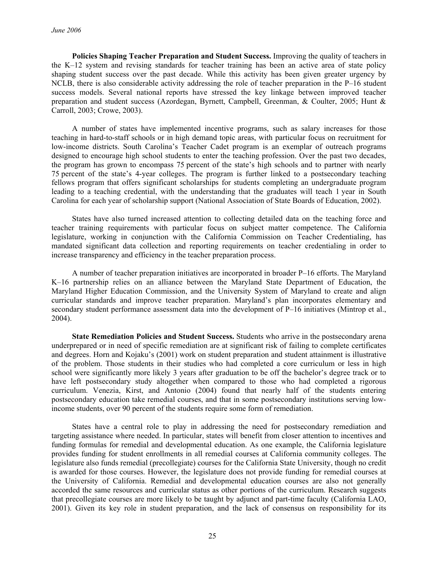**Policies Shaping Teacher Preparation and Student Success.** Improving the quality of teachers in the K–12 system and revising standards for teacher training has been an active area of state policy shaping student success over the past decade. While this activity has been given greater urgency by NCLB, there is also considerable activity addressing the role of teacher preparation in the P–16 student success models. Several national reports have stressed the key linkage between improved teacher preparation and student success (Azordegan, Byrnett, Campbell, Greenman, & Coulter, 2005; Hunt & Carroll, 2003; Crowe, 2003).

A number of states have implemented incentive programs, such as salary increases for those teaching in hard-to-staff schools or in high demand topic areas, with particular focus on recruitment for low-income districts. South Carolina's Teacher Cadet program is an exemplar of outreach programs designed to encourage high school students to enter the teaching profession. Over the past two decades, the program has grown to encompass 75 percent of the state's high schools and to partner with nearly 75 percent of the state's 4-year colleges. The program is further linked to a postsecondary teaching fellows program that offers significant scholarships for students completing an undergraduate program leading to a teaching credential, with the understanding that the graduates will teach 1 year in South Carolina for each year of scholarship support (National Association of State Boards of Education, 2002).

States have also turned increased attention to collecting detailed data on the teaching force and teacher training requirements with particular focus on subject matter competence. The California legislature, working in conjunction with the California Commission on Teacher Credentialing, has mandated significant data collection and reporting requirements on teacher credentialing in order to increase transparency and efficiency in the teacher preparation process.

A number of teacher preparation initiatives are incorporated in broader P–16 efforts. The Maryland K–16 partnership relies on an alliance between the Maryland State Department of Education, the Maryland Higher Education Commission, and the University System of Maryland to create and align curricular standards and improve teacher preparation. Maryland's plan incorporates elementary and secondary student performance assessment data into the development of P–16 initiatives (Mintrop et al., 2004).

**State Remediation Policies and Student Success.** Students who arrive in the postsecondary arena underprepared or in need of specific remediation are at significant risk of failing to complete certificates and degrees. Horn and Kojaku's (2001) work on student preparation and student attainment is illustrative of the problem. Those students in their studies who had completed a core curriculum or less in high school were significantly more likely 3 years after graduation to be off the bachelor's degree track or to have left postsecondary study altogether when compared to those who had completed a rigorous curriculum. Venezia, Kirst, and Antonio (2004) found that nearly half of the students entering postsecondary education take remedial courses, and that in some postsecondary institutions serving lowincome students, over 90 percent of the students require some form of remediation.

States have a central role to play in addressing the need for postsecondary remediation and targeting assistance where needed. In particular, states will benefit from closer attention to incentives and funding formulas for remedial and developmental education. As one example, the California legislature provides funding for student enrollments in all remedial courses at California community colleges. The legislature also funds remedial (precollegiate) courses for the California State University, though no credit is awarded for those courses. However, the legislature does not provide funding for remedial courses at the University of California. Remedial and developmental education courses are also not generally accorded the same resources and curricular status as other portions of the curriculum. Research suggests that precollegiate courses are more likely to be taught by adjunct and part-time faculty (California LAO, 2001). Given its key role in student preparation, and the lack of consensus on responsibility for its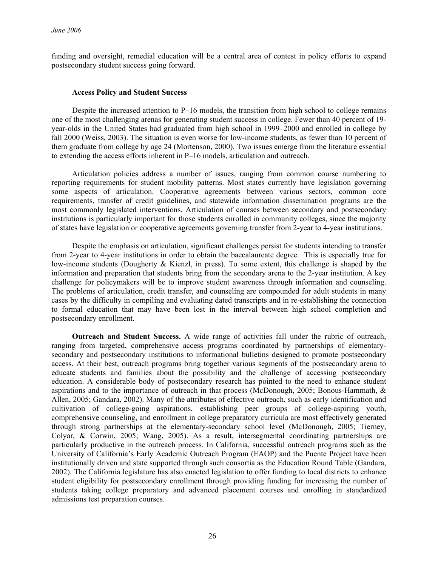funding and oversight, remedial education will be a central area of contest in policy efforts to expand postsecondary student success going forward.

### **Access Policy and Student Success**

Despite the increased attention to P–16 models, the transition from high school to college remains one of the most challenging arenas for generating student success in college. Fewer than 40 percent of 19 year-olds in the United States had graduated from high school in 1999–2000 and enrolled in college by fall 2000 (Weiss, 2003). The situation is even worse for low-income students, as fewer than 10 percent of them graduate from college by age 24 (Mortenson, 2000). Two issues emerge from the literature essential to extending the access efforts inherent in P–16 models, articulation and outreach.

Articulation policies address a number of issues, ranging from common course numbering to reporting requirements for student mobility patterns. Most states currently have legislation governing some aspects of articulation. Cooperative agreements between various sectors, common core requirements, transfer of credit guidelines, and statewide information dissemination programs are the most commonly legislated interventions. Articulation of courses between secondary and postsecondary institutions is particularly important for those students enrolled in community colleges, since the majority of states have legislation or cooperative agreements governing transfer from 2-year to 4-year institutions.

Despite the emphasis on articulation, significant challenges persist for students intending to transfer from 2-year to 4-year institutions in order to obtain the baccalaureate degree. This is especially true for low-income students (Dougherty & Kienzl, in press). To some extent, this challenge is shaped by the information and preparation that students bring from the secondary arena to the 2-year institution. A key challenge for policymakers will be to improve student awareness through information and counseling. The problems of articulation, credit transfer, and counseling are compounded for adult students in many cases by the difficulty in compiling and evaluating dated transcripts and in re-establishing the connection to formal education that may have been lost in the interval between high school completion and postsecondary enrollment.

**Outreach and Student Success.** A wide range of activities fall under the rubric of outreach, ranging from targeted, comprehensive access programs coordinated by partnerships of elementarysecondary and postsecondary institutions to informational bulletins designed to promote postsecondary access. At their best, outreach programs bring together various segments of the postsecondary arena to educate students and families about the possibility and the challenge of accessing postsecondary education. A considerable body of postsecondary research has pointed to the need to enhance student aspirations and to the importance of outreach in that process (McDonough, 2005; Bonous-Hammath, & Allen, 2005; Gandara, 2002). Many of the attributes of effective outreach, such as early identification and cultivation of college-going aspirations, establishing peer groups of college-aspiring youth, comprehensive counseling, and enrollment in college preparatory curricula are most effectively generated through strong partnerships at the elementary-secondary school level (McDonough, 2005; Tierney, Colyar, & Corwin, 2005; Wang, 2005). As a result, intersegmental coordinating partnerships are particularly productive in the outreach process. In California, successful outreach programs such as the University of California's Early Academic Outreach Program (EAOP) and the Puente Project have been institutionally driven and state supported through such consortia as the Education Round Table (Gandara, 2002). The California legislature has also enacted legislation to offer funding to local districts to enhance student eligibility for postsecondary enrollment through providing funding for increasing the number of students taking college preparatory and advanced placement courses and enrolling in standardized admissions test preparation courses.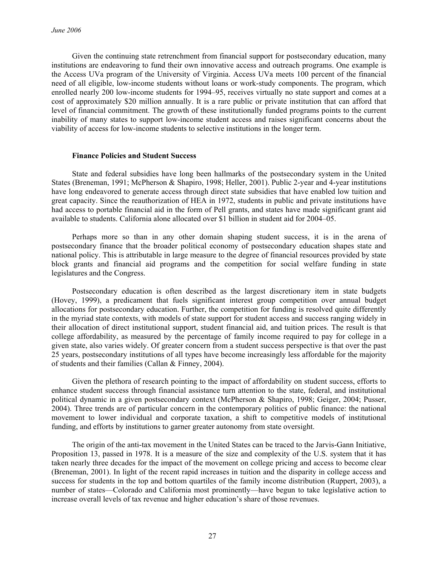Given the continuing state retrenchment from financial support for postsecondary education, many institutions are endeavoring to fund their own innovative access and outreach programs. One example is the Access UVa program of the University of Virginia. Access UVa meets 100 percent of the financial need of all eligible, low-income students without loans or work-study components. The program, which enrolled nearly 200 low-income students for 1994–95, receives virtually no state support and comes at a cost of approximately \$20 million annually. It is a rare public or private institution that can afford that level of financial commitment. The growth of these institutionally funded programs points to the current inability of many states to support low-income student access and raises significant concerns about the viability of access for low-income students to selective institutions in the longer term.

# **Finance Policies and Student Success**

State and federal subsidies have long been hallmarks of the postsecondary system in the United States (Breneman, 1991; McPherson & Shapiro, 1998; Heller, 2001). Public 2-year and 4-year institutions have long endeavored to generate access through direct state subsidies that have enabled low tuition and great capacity. Since the reauthorization of HEA in 1972, students in public and private institutions have had access to portable financial aid in the form of Pell grants, and states have made significant grant aid available to students. California alone allocated over \$1 billion in student aid for 2004–05.

Perhaps more so than in any other domain shaping student success, it is in the arena of postsecondary finance that the broader political economy of postsecondary education shapes state and national policy. This is attributable in large measure to the degree of financial resources provided by state block grants and financial aid programs and the competition for social welfare funding in state legislatures and the Congress.

Postsecondary education is often described as the largest discretionary item in state budgets (Hovey, 1999), a predicament that fuels significant interest group competition over annual budget allocations for postsecondary education. Further, the competition for funding is resolved quite differently in the myriad state contexts, with models of state support for student access and success ranging widely in their allocation of direct institutional support, student financial aid, and tuition prices. The result is that college affordability, as measured by the percentage of family income required to pay for college in a given state, also varies widely. Of greater concern from a student success perspective is that over the past 25 years, postsecondary institutions of all types have become increasingly less affordable for the majority of students and their families (Callan & Finney, 2004).

Given the plethora of research pointing to the impact of affordability on student success, efforts to enhance student success through financial assistance turn attention to the state, federal, and institutional political dynamic in a given postsecondary context (McPherson & Shapiro, 1998; Geiger, 2004; Pusser, 2004). Three trends are of particular concern in the contemporary politics of public finance: the national movement to lower individual and corporate taxation, a shift to competitive models of institutional funding, and efforts by institutions to garner greater autonomy from state oversight.

The origin of the anti-tax movement in the United States can be traced to the Jarvis-Gann Initiative, Proposition 13, passed in 1978. It is a measure of the size and complexity of the U.S. system that it has taken nearly three decades for the impact of the movement on college pricing and access to become clear (Breneman, 2001). In light of the recent rapid increases in tuition and the disparity in college access and success for students in the top and bottom quartiles of the family income distribution (Ruppert, 2003), a number of states—Colorado and California most prominently—have begun to take legislative action to increase overall levels of tax revenue and higher education's share of those revenues.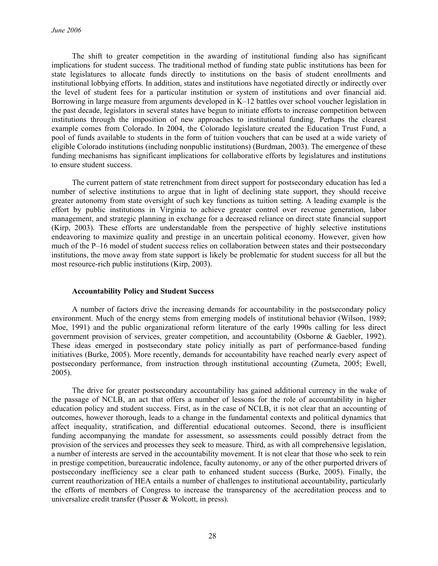The shift to greater competition in the awarding of institutional funding also has significant implications for student success. The traditional method of funding state public institutions has been for state legislatures to allocate funds directly to institutions on the basis of student enrollments and institutional lobbying efforts. In addition, states and institutions have negotiated directly or indirectly over the level of student fees for a particular institution or system of institutions and over financial aid. Borrowing in large measure from arguments developed in K–12 battles over school voucher legislation in the past decade, legislators in several states have begun to initiate efforts to increase competition between institutions through the imposition of new approaches to institutional funding. Perhaps the clearest example comes from Colorado. In 2004, the Colorado legislature created the Education Trust Fund, a pool of funds available to students in the form of tuition vouchers that can be used at a wide variety of eligible Colorado institutions (including nonpublic institutions) (Burdman, 2003). The emergence of these funding mechanisms has significant implications for collaborative efforts by legislatures and institutions to ensure student success.

The current pattern of state retrenchment from direct support for postsecondary education has led a number of selective institutions to argue that in light of declining state support, they should receive greater autonomy from state oversight of such key functions as tuition setting. A leading example is the effort by public institutions in Virginia to achieve greater control over revenue generation, labor management, and strategic planning in exchange for a decreased reliance on direct state financial support (Kirp, 2003). These efforts are understandable from the perspective of highly selective institutions endeavoring to maximize quality and prestige in an uncertain political economy. However, given how much of the P–16 model of student success relies on collaboration between states and their postsecondary institutions, the move away from state support is likely be problematic for student success for all but the most resource-rich public institutions (Kirp, 2003).

### **Accountability Policy and Student Success**

A number of factors drive the increasing demands for accountability in the postsecondary policy environment. Much of the energy stems from emerging models of institutional behavior (Wilson, 1989; Moe, 1991) and the public organizational reform literature of the early 1990s calling for less direct government provision of services, greater competition, and accountability (Osborne & Gaebler, 1992). These ideas emerged in postsecondary state policy initially as part of performance-based funding initiatives (Burke, 2005). More recently, demands for accountability have reached nearly every aspect of postsecondary performance, from instruction through institutional accounting (Zumeta, 2005; Ewell, 2005).

The drive for greater postsecondary accountability has gained additional currency in the wake of the passage of NCLB, an act that offers a number of lessons for the role of accountability in higher education policy and student success. First, as in the case of NCLB, it is not clear that an accounting of outcomes, however thorough, leads to a change in the fundamental contexts and political dynamics that affect inequality, stratification, and differential educational outcomes. Second, there is insufficient funding accompanying the mandate for assessment, so assessments could possibly detract from the provision of the services and processes they seek to measure. Third, as with all comprehensive legislation, a number of interests are served in the accountability movement. It is not clear that those who seek to rein in prestige competition, bureaucratic indolence, faculty autonomy, or any of the other purported drivers of postsecondary inefficiency see a clear path to enhanced student success (Burke, 2005). Finally, the current reauthorization of HEA entails a number of challenges to institutional accountability, particularly the efforts of members of Congress to increase the transparency of the accreditation process and to universalize credit transfer (Pusser & Wolcott, in press).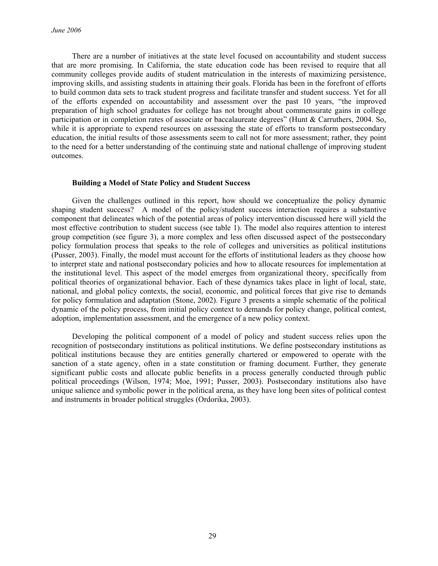There are a number of initiatives at the state level focused on accountability and student success that are more promising. In California, the state education code has been revised to require that all community colleges provide audits of student matriculation in the interests of maximizing persistence, improving skills, and assisting students in attaining their goals. Florida has been in the forefront of efforts to build common data sets to track student progress and facilitate transfer and student success. Yet for all of the efforts expended on accountability and assessment over the past 10 years, "the improved preparation of high school graduates for college has not brought about commensurate gains in college participation or in completion rates of associate or baccalaureate degrees" (Hunt & Carruthers, 2004. So, while it is appropriate to expend resources on assessing the state of efforts to transform postsecondary education, the initial results of those assessments seem to call not for more assessment; rather, they point to the need for a better understanding of the continuing state and national challenge of improving student outcomes.

# **Building a Model of State Policy and Student Success**

Given the challenges outlined in this report, how should we conceptualize the policy dynamic shaping student success? A model of the policy/student success interaction requires a substantive component that delineates which of the potential areas of policy intervention discussed here will yield the most effective contribution to student success (see table 1). The model also requires attention to interest group competition (see figure 3), a more complex and less often discussed aspect of the postsecondary policy formulation process that speaks to the role of colleges and universities as political institutions (Pusser, 2003). Finally, the model must account for the efforts of institutional leaders as they choose how to interpret state and national postsecondary policies and how to allocate resources for implementation at the institutional level. This aspect of the model emerges from organizational theory, specifically from political theories of organizational behavior. Each of these dynamics takes place in light of local, state, national, and global policy contexts, the social, economic, and political forces that give rise to demands for policy formulation and adaptation (Stone, 2002). Figure 3 presents a simple schematic of the political dynamic of the policy process, from initial policy context to demands for policy change, political contest, adoption, implementation assessment, and the emergence of a new policy context.

Developing the political component of a model of policy and student success relies upon the recognition of postsecondary institutions as political institutions. We define postsecondary institutions as political institutions because they are entities generally chartered or empowered to operate with the sanction of a state agency, often in a state constitution or framing document. Further, they generate significant public costs and allocate public benefits in a process generally conducted through public political proceedings (Wilson, 1974; Moe, 1991; Pusser, 2003). Postsecondary institutions also have unique salience and symbolic power in the political arena, as they have long been sites of political contest and instruments in broader political struggles (Ordorika, 2003).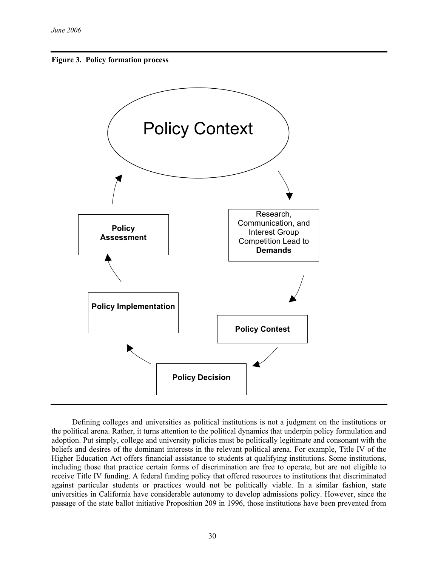



Defining colleges and universities as political institutions is not a judgment on the institutions or the political arena. Rather, it turns attention to the political dynamics that underpin policy formulation and adoption. Put simply, college and university policies must be politically legitimate and consonant with the beliefs and desires of the dominant interests in the relevant political arena. For example, Title IV of the Higher Education Act offers financial assistance to students at qualifying institutions. Some institutions, including those that practice certain forms of discrimination are free to operate, but are not eligible to receive Title IV funding. A federal funding policy that offered resources to institutions that discriminated against particular students or practices would not be politically viable. In a similar fashion, state universities in California have considerable autonomy to develop admissions policy. However, since the passage of the state ballot initiative Proposition 209 in 1996, those institutions have been prevented from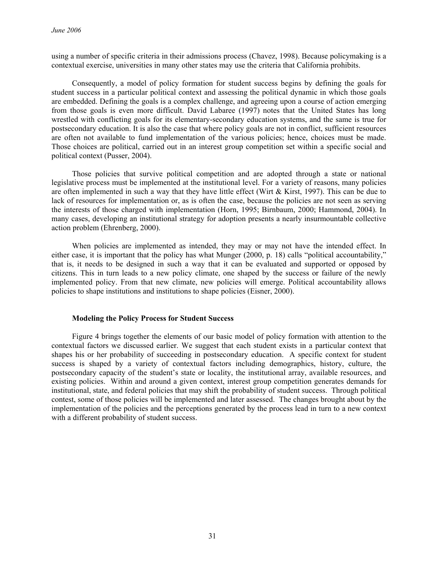using a number of specific criteria in their admissions process (Chavez, 1998). Because policymaking is a contextual exercise, universities in many other states may use the criteria that California prohibits.

Consequently, a model of policy formation for student success begins by defining the goals for student success in a particular political context and assessing the political dynamic in which those goals are embedded. Defining the goals is a complex challenge, and agreeing upon a course of action emerging from those goals is even more difficult. David Labaree (1997) notes that the United States has long wrestled with conflicting goals for its elementary-secondary education systems, and the same is true for postsecondary education. It is also the case that where policy goals are not in conflict, sufficient resources are often not available to fund implementation of the various policies; hence, choices must be made. Those choices are political, carried out in an interest group competition set within a specific social and political context (Pusser, 2004).

Those policies that survive political competition and are adopted through a state or national legislative process must be implemented at the institutional level. For a variety of reasons, many policies are often implemented in such a way that they have little effect (Wirt & Kirst, 1997). This can be due to lack of resources for implementation or, as is often the case, because the policies are not seen as serving the interests of those charged with implementation (Horn, 1995; Birnbaum, 2000; Hammond, 2004). In many cases, developing an institutional strategy for adoption presents a nearly insurmountable collective action problem (Ehrenberg, 2000).

When policies are implemented as intended, they may or may not have the intended effect. In either case, it is important that the policy has what Munger (2000, p. 18) calls "political accountability," that is, it needs to be designed in such a way that it can be evaluated and supported or opposed by citizens. This in turn leads to a new policy climate, one shaped by the success or failure of the newly implemented policy. From that new climate, new policies will emerge. Political accountability allows policies to shape institutions and institutions to shape policies (Eisner, 2000).

### **Modeling the Policy Process for Student Success**

Figure 4 brings together the elements of our basic model of policy formation with attention to the contextual factors we discussed earlier. We suggest that each student exists in a particular context that shapes his or her probability of succeeding in postsecondary education. A specific context for student success is shaped by a variety of contextual factors including demographics, history, culture, the postsecondary capacity of the student's state or locality, the institutional array, available resources, and existing policies. Within and around a given context, interest group competition generates demands for institutional, state, and federal policies that may shift the probability of student success. Through political contest, some of those policies will be implemented and later assessed. The changes brought about by the implementation of the policies and the perceptions generated by the process lead in turn to a new context with a different probability of student success.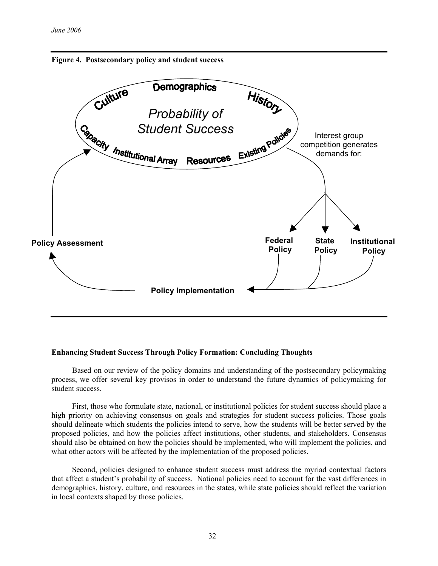



# **Enhancing Student Success Through Policy Formation: Concluding Thoughts**

Based on our review of the policy domains and understanding of the postsecondary policymaking process, we offer several key provisos in order to understand the future dynamics of policymaking for student success.

First, those who formulate state, national, or institutional policies for student success should place a high priority on achieving consensus on goals and strategies for student success policies. Those goals should delineate which students the policies intend to serve, how the students will be better served by the proposed policies, and how the policies affect institutions, other students, and stakeholders. Consensus should also be obtained on how the policies should be implemented, who will implement the policies, and what other actors will be affected by the implementation of the proposed policies.

Second, policies designed to enhance student success must address the myriad contextual factors that affect a student's probability of success. National policies need to account for the vast differences in demographics, history, culture, and resources in the states, while state policies should reflect the variation in local contexts shaped by those policies.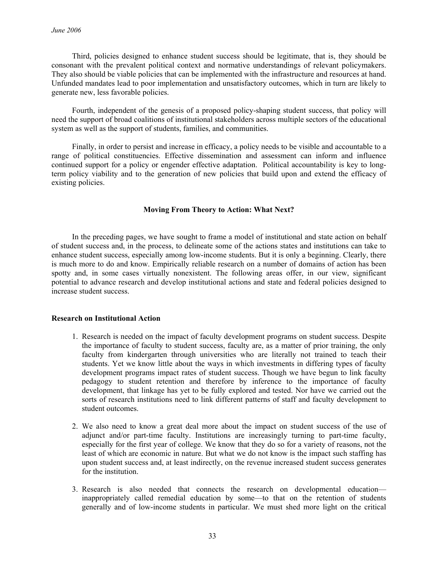Third, policies designed to enhance student success should be legitimate, that is, they should be consonant with the prevalent political context and normative understandings of relevant policymakers. They also should be viable policies that can be implemented with the infrastructure and resources at hand. Unfunded mandates lead to poor implementation and unsatisfactory outcomes, which in turn are likely to generate new, less favorable policies.

Fourth, independent of the genesis of a proposed policy-shaping student success, that policy will need the support of broad coalitions of institutional stakeholders across multiple sectors of the educational system as well as the support of students, families, and communities.

Finally, in order to persist and increase in efficacy, a policy needs to be visible and accountable to a range of political constituencies. Effective dissemination and assessment can inform and influence continued support for a policy or engender effective adaptation. Political accountability is key to longterm policy viability and to the generation of new policies that build upon and extend the efficacy of existing policies.

# **Moving From Theory to Action: What Next?**

In the preceding pages, we have sought to frame a model of institutional and state action on behalf of student success and, in the process, to delineate some of the actions states and institutions can take to enhance student success, especially among low-income students. But it is only a beginning. Clearly, there is much more to do and know. Empirically reliable research on a number of domains of action has been spotty and, in some cases virtually nonexistent. The following areas offer, in our view, significant potential to advance research and develop institutional actions and state and federal policies designed to increase student success.

# **Research on Institutional Action**

- 1. Research is needed on the impact of faculty development programs on student success. Despite the importance of faculty to student success, faculty are, as a matter of prior training, the only faculty from kindergarten through universities who are literally not trained to teach their students. Yet we know little about the ways in which investments in differing types of faculty development programs impact rates of student success. Though we have begun to link faculty pedagogy to student retention and therefore by inference to the importance of faculty development, that linkage has yet to be fully explored and tested. Nor have we carried out the sorts of research institutions need to link different patterns of staff and faculty development to student outcomes.
- 2. We also need to know a great deal more about the impact on student success of the use of adjunct and/or part-time faculty. Institutions are increasingly turning to part-time faculty, especially for the first year of college. We know that they do so for a variety of reasons, not the least of which are economic in nature. But what we do not know is the impact such staffing has upon student success and, at least indirectly, on the revenue increased student success generates for the institution.
- 3. Research is also needed that connects the research on developmental education inappropriately called remedial education by some—to that on the retention of students generally and of low-income students in particular. We must shed more light on the critical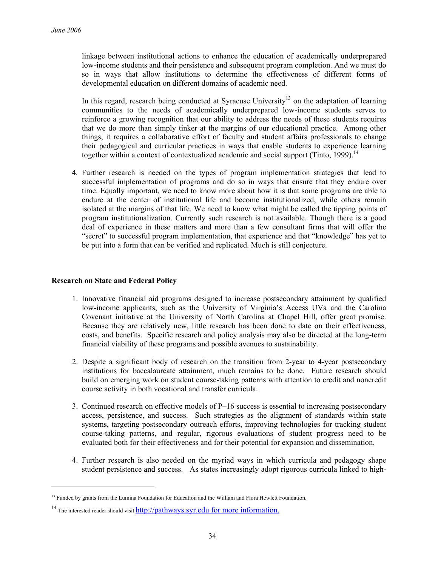linkage between institutional actions to enhance the education of academically underprepared low-income students and their persistence and subsequent program completion. And we must do so in ways that allow institutions to determine the effectiveness of different forms of developmental education on different domains of academic need.

In this regard, research being conducted at Syracuse University<sup>13</sup> on the adaptation of learning communities to the needs of academically underprepared low-income students serves to reinforce a growing recognition that our ability to address the needs of these students requires that we do more than simply tinker at the margins of our educational practice. Among other things, it requires a collaborative effort of faculty and student affairs professionals to change their pedagogical and curricular practices in ways that enable students to experience learning together within a context of contextualized academic and social support (Tinto, 1999).<sup>14</sup>

4*.* Further research is needed on the types of program implementation strategies that lead to successful implementation of programs and do so in ways that ensure that they endure over time. Equally important, we need to know more about how it is that some programs are able to endure at the center of institutional life and become institutionalized, while others remain isolated at the margins of that life. We need to know what might be called the tipping points of program institutionalization. Currently such research is not available. Though there is a good deal of experience in these matters and more than a few consultant firms that will offer the "secret" to successful program implementation, that experience and that "knowledge" has yet to be put into a form that can be verified and replicated. Much is still conjecture.

# **Research on State and Federal Policy**

1

- 1. Innovative financial aid programs designed to increase postsecondary attainment by qualified low-income applicants, such as the University of Virginia's Access UVa and the Carolina Covenant initiative at the University of North Carolina at Chapel Hill, offer great promise. Because they are relatively new, little research has been done to date on their effectiveness, costs, and benefits. Specific research and policy analysis may also be directed at the long-term financial viability of these programs and possible avenues to sustainability.
- 2. Despite a significant body of research on the transition from 2-year to 4-year postsecondary institutions for baccalaureate attainment, much remains to be done. Future research should build on emerging work on student course-taking patterns with attention to credit and noncredit course activity in both vocational and transfer curricula.
- 3. Continued research on effective models of P–16 success is essential to increasing postsecondary access, persistence, and success. Such strategies as the alignment of standards within state systems, targeting postsecondary outreach efforts, improving technologies for tracking student course-taking patterns, and regular, rigorous evaluations of student progress need to be evaluated both for their effectiveness and for their potential for expansion and dissemination.
- 4. Further research is also needed on the myriad ways in which curricula and pedagogy shape student persistence and success. As states increasingly adopt rigorous curricula linked to high-

<sup>&</sup>lt;sup>13</sup> Funded by grants from the Lumina Foundation for Education and the William and Flora Hewlett Foundation.

 $14$  The interested reader should visit http://pathways.syr.edu for more information.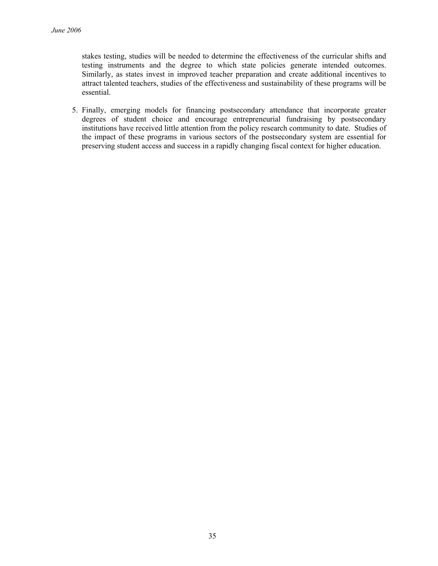stakes testing, studies will be needed to determine the effectiveness of the curricular shifts and testing instruments and the degree to which state policies generate intended outcomes. Similarly, as states invest in improved teacher preparation and create additional incentives to attract talented teachers, studies of the effectiveness and sustainability of these programs will be essential.

5. Finally, emerging models for financing postsecondary attendance that incorporate greater degrees of student choice and encourage entrepreneurial fundraising by postsecondary institutions have received little attention from the policy research community to date. Studies of the impact of these programs in various sectors of the postsecondary system are essential for preserving student access and success in a rapidly changing fiscal context for higher education.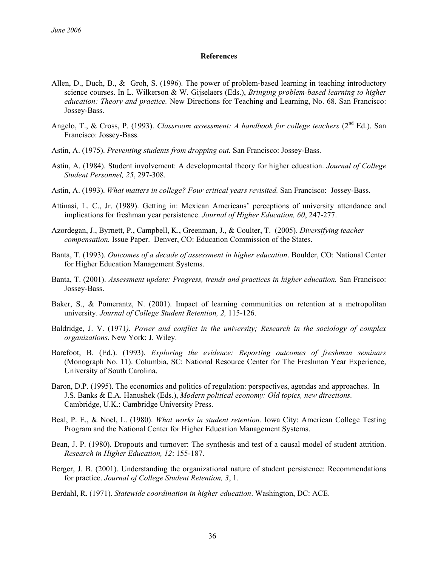#### **References**

- Allen, D., Duch, B., & Groh, S. (1996). The power of problem-based learning in teaching introductory science courses. In L. Wilkerson & W. Gijselaers (Eds.), *Bringing problem-based learning to higher education: Theory and practice.* New Directions for Teaching and Learning, No. 68. San Francisco: Jossey-Bass.
- Angelo, T., & Cross, P. (1993). *Classroom assessment: A handbook for college teachers* (2<sup>nd</sup> Ed.). San Francisco: Jossey-Bass.
- Astin, A. (1975). *Preventing students from dropping out.* San Francisco: Jossey-Bass.
- Astin, A. (1984). Student involvement: A developmental theory for higher education. *Journal of College Student Personnel, 25*, 297-308.
- Astin, A. (1993). *What matters in college? Four critical years revisited.* San Francisco: Jossey-Bass.
- Attinasi, L. C., Jr. (1989). Getting in: Mexican Americans' perceptions of university attendance and implications for freshman year persistence. *Journal of Higher Education, 60*, 247-277.
- Azordegan, J., Byrnett, P., Campbell, K., Greenman, J., & Coulter, T. (2005). *Diversifying teacher compensation.* Issue Paper. Denver, CO: Education Commission of the States.
- Banta, T. (1993). *Outcomes of a decade of assessment in higher education*. Boulder, CO: National Center for Higher Education Management Systems.
- Banta, T. (2001). *Assessment update: Progress, trends and practices in higher education.* San Francisco: Jossey-Bass.
- Baker, S., & Pomerantz, N. (2001). Impact of learning communities on retention at a metropolitan university. *Journal of College Student Retention, 2,* 115-126.
- Baldridge, J. V. (1971*). Power and conflict in the university; Research in the sociology of complex organizations*. New York: J. Wiley.
- Barefoot, B. (Ed.). (1993). *Exploring the evidence: Reporting outcomes of freshman seminars* (Monograph No. 11). Columbia, SC: National Resource Center for The Freshman Year Experience, University of South Carolina.
- Baron, D.P. (1995). The economics and politics of regulation: perspectives, agendas and approaches. In J.S. Banks & E.A. Hanushek (Eds.), *Modern political economy: Old topics, new directions.*  Cambridge, U.K.: Cambridge University Press.
- Beal, P. E., & Noel, L. (1980). *What works in student retention.* Iowa City: American College Testing Program and the National Center for Higher Education Management Systems.
- Bean, J. P. (1980). Dropouts and turnover: The synthesis and test of a causal model of student attrition. *Research in Higher Education, 12*: 155-187.
- Berger, J. B. (2001). Understanding the organizational nature of student persistence: Recommendations for practice. *Journal of College Student Retention, 3*, 1.
- Berdahl, R. (1971). *Statewide coordination in higher education*. Washington, DC: ACE.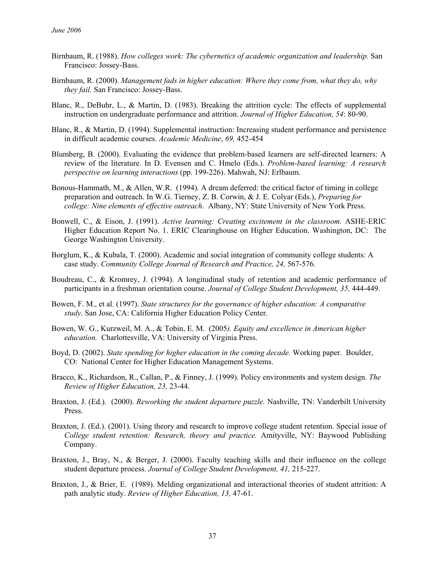- Birnbaum, R. (1988). *How colleges work: The cybernetics of academic organization and leadership.* San Francisco: Jossey-Bass.
- Birnbaum, R. (2000). *Management fads in higher education: Where they come from, what they do, why they fail.* San Francisco: Jossey-Bass.
- Blanc, R., DeBuhr, L., & Martin, D. (1983). Breaking the attrition cycle: The effects of supplemental instruction on undergraduate performance and attrition. *Journal of Higher Education, 54*: 80-90.
- Blanc, R., & Martin, D. (1994). Supplemental instruction: Increasing student performance and persistence in difficult academic courses. *Academic Medicine*, *69,* 452-454
- Blumberg, B. (2000). Evaluating the evidence that problem-based learners are self-directed learners: A review of the literature. In D. Evensen and C. Hmelo (Eds.). *Problem-based learning: A research perspective on learning interactions* (pp. 199-226). Mahwah, NJ: Erlbaum.
- Bonous-Hammath, M., & Allen, W.R. (1994). A dream deferred: the critical factor of timing in college preparation and outreach. In W.G. Tierney, Z. B. Corwin, & J. E. Colyar (Eds.), *Preparing for college: Nine elements of effective outreach*. Albany, NY: State University of New York Press.
- Bonwell, C., & Eison, J. (1991). *Active learning: Creating excitement in the classroom.* ASHE-ERIC Higher Education Report No. 1. ERIC Clearinghouse on Higher Education. Washington, DC: The George Washington University.
- Borglum, K., & Kubala, T. (2000). Academic and social integration of community college students: A case study. *Community College Journal of Research and Practice, 24,* 567-576.
- Boudreau, C., & Kromrey, J. (1994). A longitudinal study of retention and academic performance of participants in a freshman orientation course. *Journal of College Student Development, 35,* 444-449.
- Bowen, F. M., et al. (1997). *State structures for the governance of higher education: A comparative study*. San Jose, CA: California Higher Education Policy Center.
- Bowen, W. G., Kurzweil, M. A., & Tobin, E. M. (2005*). Equity and excellence in American higher education.* Charlottesville, VA: University of Virginia Press.
- Boyd, D. (2002). *State spending for higher education in the coming decade.* Working paper. Boulder, CO: National Center for Higher Education Management Systems.
- Bracco, K., Richardson, R., Callan, P., & Finney, J. (1999). Policy environments and system design*. The Review of Higher Education, 23,* 23-44.
- Braxton, J. (Ed.). (2000). *Reworking the student departure puzzle.* Nashville, TN: Vanderbilt University Press.
- Braxton, J. (Ed.). (2001). Using theory and research to improve college student retention. Special issue of *College student retention: Research, theory and practice.* Amityville, NY: Baywood Publishing Company.
- Braxton, J., Bray, N., & Berger, J. (2000). Faculty teaching skills and their influence on the college student departure process. *Journal of College Student Development, 41,* 215-227.
- Braxton, J., & Brier, E. (1989). Melding organizational and interactional theories of student attrition: A path analytic study. *Review of Higher Education, 13,* 47-61.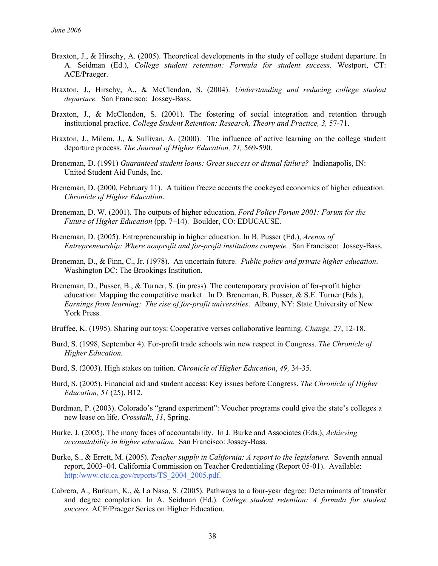- Braxton, J., & Hirschy, A. (2005). Theoretical developments in the study of college student departure. In A. Seidman (Ed.), *College student retention: Formula for student success.* Westport, CT: ACE/Praeger.
- Braxton, J., Hirschy, A., & McClendon, S. (2004). *Understanding and reducing college student departure.* San Francisco: Jossey-Bass.
- Braxton, J., & McClendon, S. (2001). The fostering of social integration and retention through institutional practice. *College Student Retention: Research, Theory and Practice, 3,* 57-71.
- Braxton, J., Milem, J., & Sullivan, A. (2000). The influence of active learning on the college student departure process. *The Journal of Higher Education, 71,* 569-590.
- Breneman, D. (1991) *Guaranteed student loans: Great success or dismal failure?* Indianapolis, IN: United Student Aid Funds, Inc*.*
- Breneman, D. (2000, February 11). A tuition freeze accents the cockeyed economics of higher education. *Chronicle of Higher Education*.
- Breneman, D. W. (2001). The outputs of higher education. *Ford Policy Forum 2001: Forum for the Future of Higher Education* (pp. 7–14). Boulder, CO: EDUCAUSE.
- Breneman, D. (2005). Entrepreneurship in higher education. In B. Pusser (Ed.), *Arenas of Entrepreneurship: Where nonprofit and for-profit institutions compete.* San Francisco: Jossey-Bass.
- Breneman, D., & Finn, C., Jr. (1978). An uncertain future. *Public policy and private higher education*. Washington DC: The Brookings Institution.
- Breneman, D., Pusser, B., & Turner, S. (in press). The contemporary provision of for-profit higher education: Mapping the competitive market. In D. Breneman, B. Pusser, & S.E. Turner (Eds.), *Earnings from learning: The rise of for-profit universities*. Albany, NY: State University of New York Press.
- Bruffee, K. (1995). Sharing our toys: Cooperative verses collaborative learning. *Change, 27*, 12-18.
- Burd, S. (1998, September 4). For-profit trade schools win new respect in Congress. *The Chronicle of Higher Education.*
- Burd, S. (2003). High stakes on tuition. *Chronicle of Higher Education*, *49,* 34-35.
- Burd, S. (2005). Financial aid and student access: Key issues before Congress. *The Chronicle of Higher Education, 51* (25), B12.
- Burdman, P. (2003). Colorado's "grand experiment": Voucher programs could give the state's colleges a new lease on life. *Crosstalk*, *11*, Spring.
- Burke, J. (2005). The many faces of accountability. In J. Burke and Associates (Eds.), *Achieving accountability in higher education.* San Francisco: Jossey-Bass.
- Burke, S., & Errett, M. (2005). *Teacher supply in California: A report to the legislature.* Seventh annual report, 2003–04. California Commission on Teacher Credentialing (Report 05-01). Available: http:/www.ctc.ca.gov/reports/TS\_2004\_2005.pdf.
- Cabrera, A., Burkum, K., & La Nasa, S. (2005). Pathways to a four-year degree: Determinants of transfer and degree completion. In A. Seidman (Ed.). *College student retention: A formula for student success*. ACE/Praeger Series on Higher Education.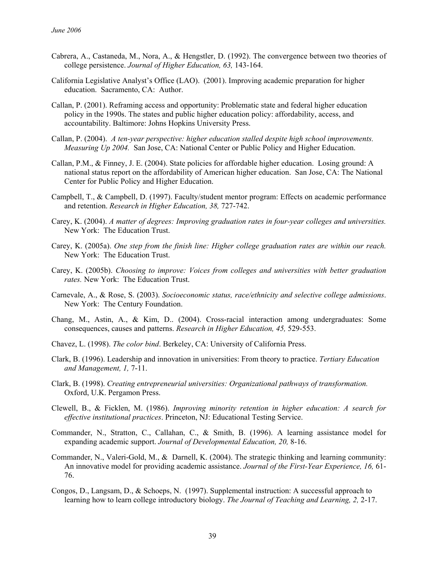- Cabrera, A., Castaneda, M., Nora, A., & Hengstler, D. (1992). The convergence between two theories of college persistence. *Journal of Higher Education, 63,* 143-164.
- California Legislative Analyst's Office (LAO). (2001). Improving academic preparation for higher education. Sacramento, CA: Author.
- Callan, P. (2001). Reframing access and opportunity: Problematic state and federal higher education policy in the 1990s. The states and public higher education policy: affordability, access, and accountability. Baltimore: Johns Hopkins University Press.
- Callan, P. (2004). *A ten-year perspective: higher education stalled despite high school improvements. Measuring Up 2004.* San Jose, CA: National Center or Public Policy and Higher Education.
- Callan, P.M., & Finney, J. E. (2004). State policies for affordable higher education. Losing ground: A national status report on the affordability of American higher education. San Jose, CA: The National Center for Public Policy and Higher Education.
- Campbell, T., & Campbell, D. (1997). Faculty/student mentor program: Effects on academic performance and retention. *Research in Higher Education, 38,* 727-742.
- Carey, K. (2004). *A matter of degrees: Improving graduation rates in four-year colleges and universities.* New York: The Education Trust.
- Carey, K. (2005a). *One step from the finish line: Higher college graduation rates are within our reach.* New York: The Education Trust.
- Carey, K. (2005b). *Choosing to improve: Voices from colleges and universities with better graduation rates.* New York: The Education Trust.
- Carnevale, A., & Rose, S. (2003). *Socioeconomic status, race/ethnicity and selective college admissions*. New York: The Century Foundation.
- Chang, M., Astin, A., & Kim, D.. (2004). Cross-racial interaction among undergraduates: Some consequences, causes and patterns. *Research in Higher Education, 45,* 529-553.
- Chavez, L. (1998). *The color bind*. Berkeley, CA: University of California Press.
- Clark, B. (1996). Leadership and innovation in universities: From theory to practice. *Tertiary Education and Management, 1,* 7-11.
- Clark, B. (1998). *Creating entrepreneurial universities: Organizational pathways of transformation.*  Oxford, U.K. Pergamon Press.
- Clewell, B., & Ficklen, M. (1986). *Improving minority retention in higher education: A search for effective institutional practices*. Princeton, NJ: Educational Testing Service.
- Commander, N., Stratton, C., Callahan, C., & Smith, B. (1996). A learning assistance model for expanding academic support. *Journal of Developmental Education, 20,* 8-16.
- Commander, N., Valeri-Gold, M., & Darnell, K. (2004). The strategic thinking and learning community: An innovative model for providing academic assistance. *Journal of the First-Year Experience, 16,* 61- 76.
- Congos, D., Langsam, D., & Schoeps, N. (1997). Supplemental instruction: A successful approach to learning how to learn college introductory biology. *The Journal of Teaching and Learning, 2,* 2-17.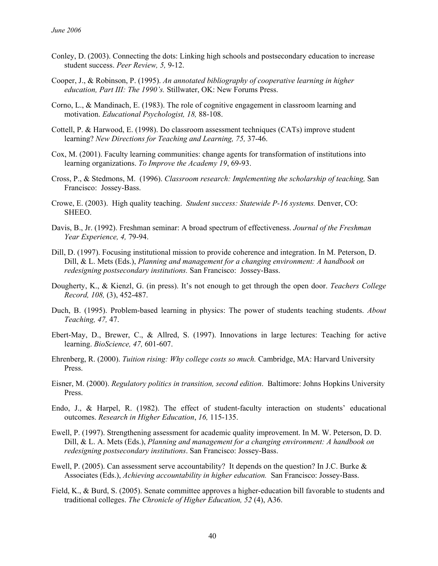- Conley, D. (2003). Connecting the dots: Linking high schools and postsecondary education to increase student success. *Peer Review, 5,* 9-12.
- Cooper, J., & Robinson, P. (1995). *An annotated bibliography of cooperative learning in higher education, Part III: The 1990's.* Stillwater, OK: New Forums Press.
- Corno, L., & Mandinach, E. (1983). The role of cognitive engagement in classroom learning and motivation. *Educational Psychologist, 18,* 88-108.
- Cottell, P. & Harwood, E. (1998). Do classroom assessment techniques (CATs) improve student learning? *New Directions for Teaching and Learning, 75,* 37-46.
- Cox, M. (2001). Faculty learning communities: change agents for transformation of institutions into learning organizations. *To Improve the Academy 19*, 69-93.
- Cross, P., & Stedmons, M. (1996). *Classroom research: Implementing the scholarship of teaching,* San Francisco: Jossey-Bass.
- Crowe, E. (2003). High quality teaching. *Student success: Statewide P-16 systems.* Denver, CO: SHEEO.
- Davis, B., Jr. (1992). Freshman seminar: A broad spectrum of effectiveness. *Journal of the Freshman Year Experience, 4,* 79-94.
- Dill, D. (1997). Focusing institutional mission to provide coherence and integration. In M. Peterson, D. Dill, & L. Mets (Eds.), *Planning and management for a changing environment: A handbook on redesigning postsecondary institutions.* San Francisco: Jossey-Bass.
- Dougherty, K., & Kienzl, G. (in press). It's not enough to get through the open door. *Teachers College Record, 108,* (3), 452-487.
- Duch, B. (1995). Problem-based learning in physics: The power of students teaching students. *About Teaching, 47,* 47.
- Ebert-May, D., Brewer, C., & Allred, S. (1997). Innovations in large lectures: Teaching for active learning. *BioScience, 47,* 601-607.
- Ehrenberg, R. (2000). *Tuition rising: Why college costs so much.* Cambridge, MA: Harvard University Press.
- Eisner, M. (2000). *Regulatory politics in transition, second edition*. Baltimore: Johns Hopkins University Press.
- Endo, J., & Harpel, R. (1982). The effect of student-faculty interaction on students' educational outcomes. *Research in Higher Education*, *16,* 115-135.
- Ewell, P. (1997). Strengthening assessment for academic quality improvement. In M. W. Peterson, D. D. Dill, & L. A. Mets (Eds.), *Planning and management for a changing environment: A handbook on redesigning postsecondary institutions*. San Francisco: Jossey-Bass.
- Ewell, P. (2005). Can assessment serve accountability? It depends on the question? In J.C. Burke & Associates (Eds.), *Achieving accountability in higher education.* San Francisco: Jossey-Bass.
- Field, K., & Burd, S. (2005). Senate committee approves a higher-education bill favorable to students and traditional colleges. *The Chronicle of Higher Education, 52* (4), A36.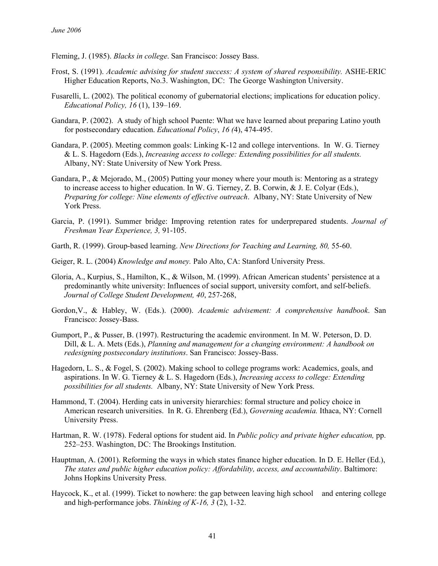- Fleming, J. (1985). *Blacks in college*. San Francisco: Jossey Bass.
- Frost, S. (1991). *Academic advising for student success: A system of shared responsibility.* ASHE-ERIC Higher Education Reports, No.3. Washington, DC: The George Washington University.
- Fusarelli, L. (2002). The political economy of gubernatorial elections; implications for education policy. *Educational Policy, 16* (1), 139–169.
- Gandara, P. (2002). A study of high school Puente: What we have learned about preparing Latino youth for postsecondary education. *Educational Policy*, *16 (*4), 474-495.
- Gandara, P. (2005). Meeting common goals: Linking K-12 and college interventions. In W. G. Tierney & L. S. Hagedorn (Eds.), *Increasing access to college: Extending possibilities for all students.* Albany, NY: State University of New York Press.
- Gandara, P., & Mejorado, M., (2005) Putting your money where your mouth is: Mentoring as a strategy to increase access to higher education. In W. G. Tierney, Z. B. Corwin, & J. E. Colyar (Eds.), *Preparing for college: Nine elements of effective outreach*. Albany, NY: State University of New York Press.
- Garcia, P. (1991). Summer bridge: Improving retention rates for underprepared students. *Journal of Freshman Year Experience, 3,* 91-105.
- Garth, R. (1999). Group-based learning. *New Directions for Teaching and Learning, 80,* 55-60.
- Geiger, R. L. (2004) *Knowledge and money.* Palo Alto, CA: Stanford University Press.
- Gloria, A., Kurpius, S., Hamilton, K., & Wilson, M. (1999). African American students' persistence at a predominantly white university: Influences of social support, university comfort, and self-beliefs. *Journal of College Student Development, 40*, 257-268,
- Gordon,V., & Habley, W. (Eds.). (2000). *Academic advisement: A comprehensive handbook*. San Francisco: Jossey-Bass.
- Gumport, P., & Pusser, B. (1997). Restructuring the academic environment. In M. W. Peterson, D. D. Dill, & L. A. Mets (Eds.), *Planning and management for a changing environment: A handbook on redesigning postsecondary institutions*. San Francisco: Jossey-Bass.
- Hagedorn, L. S., & Fogel, S. (2002). Making school to college programs work: Academics, goals, and aspirations. In W. G. Tierney & L. S. Hagedorn (Eds.), *Increasing access to college: Extending possibilities for all students.* Albany, NY: State University of New York Press.
- Hammond, T. (2004). Herding cats in university hierarchies: formal structure and policy choice in American research universities. In R. G. Ehrenberg (Ed.), *Governing academia.* Ithaca, NY: Cornell University Press.
- Hartman, R. W. (1978). Federal options for student aid. In *Public policy and private higher education,* pp. 252–253. Washington, DC: The Brookings Institution.
- Hauptman, A. (2001). Reforming the ways in which states finance higher education. In D. E. Heller (Ed.), *The states and public higher education policy: Affordability, access, and accountability*. Baltimore: Johns Hopkins University Press.
- Haycock, K., et al. (1999). Ticket to nowhere: the gap between leaving high school and entering college and high-performance jobs. *Thinking of K-16, 3* (2), 1-32.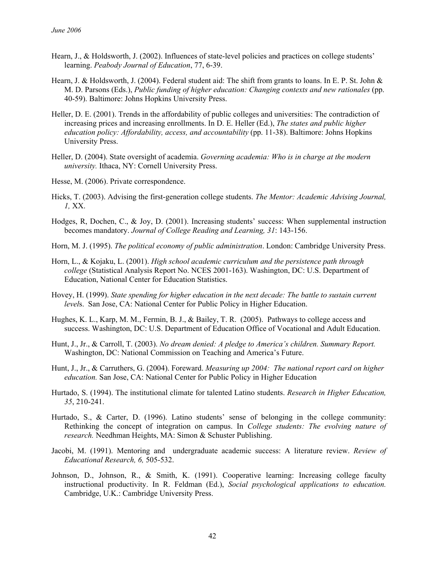- Hearn, J., & Holdsworth, J. (2002). Influences of state-level policies and practices on college students' learning. *Peabody Journal of Education*, 77, 6-39.
- Hearn, J. & Holdsworth, J. (2004). Federal student aid: The shift from grants to loans. In E. P. St. John & M. D. Parsons (Eds.), *Public funding of higher education: Changing contexts and new rationales* (pp. 40-59). Baltimore: Johns Hopkins University Press.
- Heller, D. E. (2001). Trends in the affordability of public colleges and universities: The contradiction of increasing prices and increasing enrollments. In D. E. Heller (Ed.), *The states and public higher education policy: Affordability, access, and accountability* (pp. 11-38). Baltimore: Johns Hopkins University Press.
- Heller, D. (2004). State oversight of academia. *Governing academia: Who is in charge at the modern university.* Ithaca, NY: Cornell University Press.
- Hesse, M. (2006). Private correspondence.
- Hicks, T. (2003). Advising the first-generation college students. *The Mentor: Academic Advising Journal, 1,* XX.
- Hodges, R, Dochen, C., & Joy, D. (2001). Increasing students' success: When supplemental instruction becomes mandatory. *Journal of College Reading and Learning, 31*: 143-156.
- Horn, M. J. (1995). *The political economy of public administration*. London: Cambridge University Press.
- Horn, L., & Kojaku, L. (2001). *High school academic curriculum and the persistence path through college* (Statistical Analysis Report No. NCES 2001-163). Washington, DC: U.S. Department of Education, National Center for Education Statistics.
- Hovey, H. (1999). *State spending for higher education in the next decade: The battle to sustain current level*s. San Jose, CA: National Center for Public Policy in Higher Education.
- Hughes, K. L., Karp, M. M., Fermin, B. J., & Bailey, T. R. (2005). Pathways to college access and success. Washington, DC: U.S. Department of Education Office of Vocational and Adult Education.
- Hunt, J., Jr., & Carroll, T. (2003). *No dream denied: A pledge to America's children. Summary Report.* Washington, DC: National Commission on Teaching and America's Future.
- Hunt, J., Jr., & Carruthers, G. (2004). Foreward. *Measuring up 2004: The national report card on higher education.* San Jose, CA: National Center for Public Policy in Higher Education
- Hurtado, S. (1994). The institutional climate for talented Latino students. *Research in Higher Education, 35*, 210-241.
- Hurtado, S., & Carter, D. (1996). Latino students' sense of belonging in the college community: Rethinking the concept of integration on campus. In *College students: The evolving nature of research.* Needhman Heights, MA: Simon & Schuster Publishing.
- Jacobi, M. (1991). Mentoring and undergraduate academic success: A literature review. *Review of Educational Research, 6,* 505-532.
- Johnson, D., Johnson, R., & Smith, K. (1991). Cooperative learning: Increasing college faculty instructional productivity. In R. Feldman (Ed.), *Social psychological applications to education.*  Cambridge, U.K.: Cambridge University Press.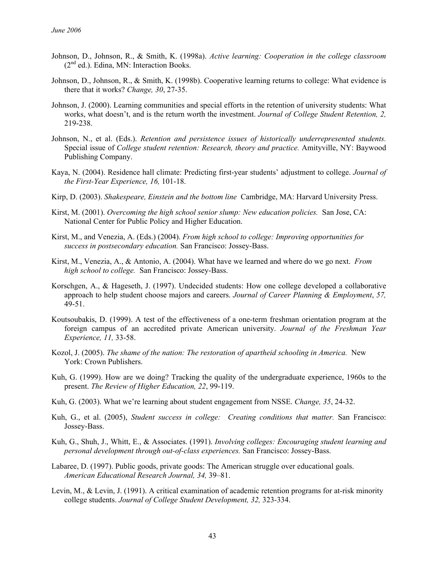- Johnson, D., Johnson, R., & Smith, K. (1998a). *Active learning: Cooperation in the college classroom*  $(2<sup>nd</sup>$  ed.). Edina, MN: Interaction Books.
- Johnson, D., Johnson, R., & Smith, K. (1998b). Cooperative learning returns to college: What evidence is there that it works? *Change, 30*, 27-35.
- Johnson, J. (2000). Learning communities and special efforts in the retention of university students: What works, what doesn't, and is the return worth the investment. *Journal of College Student Retention, 2,* 219-238.
- Johnson, N., et al. (Eds.). *Retention and persistence issues of historically underrepresented students.*  Special issue of *College student retention: Research, theory and practice.* Amityville, NY: Baywood Publishing Company.
- Kaya, N. (2004). Residence hall climate: Predicting first-year students' adjustment to college. *Journal of the First-Year Experience, 16,* 101-18.
- Kirp, D. (2003). *Shakespeare, Einstein and the bottom line* Cambridge, MA: Harvard University Press.
- Kirst, M. (2001). *Overcoming the high school senior slump: New education policies.* San Jose, CA: National Center for Public Policy and Higher Education.
- Kirst, M., and Venezia, A. (Eds.) (2004). *From high school to college: Improving opportunities for success in postsecondary education.* San Francisco: Jossey-Bass.
- Kirst, M., Venezia, A., & Antonio, A. (2004). What have we learned and where do we go next. *From high school to college.* San Francisco: Jossey-Bass.
- Korschgen, A., & Hageseth, J. (1997). Undecided students: How one college developed a collaborative approach to help student choose majors and careers. *Journal of Career Planning & Employment*, *57,* 49-51.
- Koutsoubakis, D. (1999). A test of the effectiveness of a one-term freshman orientation program at the foreign campus of an accredited private American university. *Journal of the Freshman Year Experience, 11,* 33-58.
- Kozol, J. (2005). *The shame of the nation: The restoration of apartheid schooling in America.* New York: Crown Publishers.
- Kuh, G. (1999). How are we doing? Tracking the quality of the undergraduate experience, 1960s to the present. *The Review of Higher Education, 22*, 99-119.
- Kuh, G. (2003). What we're learning about student engagement from NSSE. *Change, 35*, 24-32.
- Kuh, G., et al. (2005), *Student success in college: Creating conditions that matter.* San Francisco: Jossey-Bass.
- Kuh, G., Shuh, J., Whitt, E., & Associates. (1991). *Involving colleges: Encouraging student learning and personal development through out-of-class experiences.* San Francisco: Jossey-Bass.
- Labaree, D. (1997). Public goods, private goods: The American struggle over educational goals. *American Educational Research Journal, 34,* 39–81.
- Levin, M., & Levin, J. (1991). A critical examination of academic retention programs for at-risk minority college students. *Journal of College Student Development, 32,* 323-334.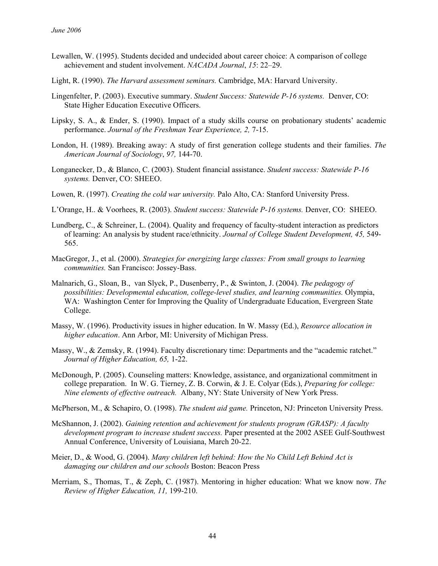- Lewallen, W. (1995). Students decided and undecided about career choice: A comparison of college achievement and student involvement. *NACADA Journal*, *15*: 22–29.
- Light, R. (1990). *The Harvard assessment seminars.* Cambridge, MA: Harvard University.
- Lingenfelter, P. (2003). Executive summary. *Student Success: Statewide P-16 systems.* Denver, CO: State Higher Education Executive Officers.
- Lipsky, S. A., & Ender, S. (1990). Impact of a study skills course on probationary students' academic performance. *Journal of the Freshman Year Experience, 2,* 7-15.
- London, H. (1989). Breaking away: A study of first generation college students and their families. *The American Journal of Sociology*, *97,* 144-70.
- Longanecker, D., & Blanco, C. (2003). Student financial assistance. *Student success: Statewide P-16 systems.* Denver, CO: SHEEO.
- Lowen, R. (1997). *Creating the cold war university.* Palo Alto, CA: Stanford University Press.
- L'Orange, H.. & Voorhees, R. (2003). *Student success: Statewide P-16 systems.* Denver, CO: SHEEO.
- Lundberg, C., & Schreiner, L. (2004). Quality and frequency of faculty-student interaction as predictors of learning: An analysis by student race/ethnicity. *Journal of College Student Development, 45,* 549- 565.
- MacGregor, J., et al. (2000). *Strategies for energizing large classes: From small groups to learning communities.* San Francisco: Jossey-Bass.
- Malnarich, G., Sloan, B., van Slyck, P., Dusenberry, P., & Swinton, J. (2004). *The pedagogy of possibilities: Developmental education, college-level studies, and learning communities.* Olympia, WA: Washington Center for Improving the Quality of Undergraduate Education, Evergreen State College.
- Massy, W. (1996). Productivity issues in higher education. In W. Massy (Ed.), *Resource allocation in higher education*. Ann Arbor, MI: University of Michigan Press.
- Massy, W., & Zemsky, R. (1994). Faculty discretionary time: Departments and the "academic ratchet." *Journal of Higher Education, 65,* 1-22.
- McDonough, P. (2005). Counseling matters: Knowledge, assistance, and organizational commitment in college preparation. In W. G. Tierney, Z. B. Corwin, & J. E. Colyar (Eds.), *Preparing for college: Nine elements of effective outreach.* Albany, NY: State University of New York Press.
- McPherson, M., & Schapiro, O. (1998). *The student aid game.* Princeton, NJ: Princeton University Press.
- McShannon, J. (2002). *Gaining retention and achievement for students program (GRASP): A faculty development program to increase student success.* Paper presented at the 2002 ASEE Gulf-Southwest Annual Conference, University of Louisiana, March 20-22.
- Meier, D., & Wood, G. (2004). *Many children left behind: How the No Child Left Behind Act is damaging our children and our schools* Boston: Beacon Press
- Merriam, S., Thomas, T., & Zeph, C. (1987). Mentoring in higher education: What we know now. *The Review of Higher Education, 11,* 199-210.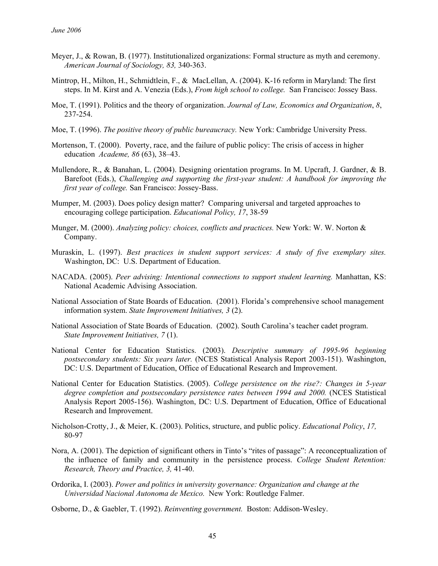- Meyer, J., & Rowan, B. (1977). Institutionalized organizations: Formal structure as myth and ceremony. *American Journal of Sociology, 83,* 340-363.
- Mintrop, H., Milton, H., Schmidtlein, F., & MacLellan, A. (2004). K-16 reform in Maryland: The first steps. In M. Kirst and A. Venezia (Eds.), *From high school to college.* San Francisco: Jossey Bass.
- Moe, T. (1991). Politics and the theory of organization. *Journal of Law, Economics and Organization*, *8*, 237-254.
- Moe, T. (1996). *The positive theory of public bureaucracy.* New York: Cambridge University Press.
- Mortenson, T. (2000). Poverty, race, and the failure of public policy: The crisis of access in higher education *Academe, 86* (63), 38–43.
- Mullendore, R., & Banahan, L. (2004). Designing orientation programs. In M. Upcraft, J. Gardner, & B. Barefoot (Eds.), *Challenging and supporting the first-year student: A handbook for improving the first year of college.* San Francisco: Jossey-Bass.
- Mumper, M. (2003). Does policy design matter? Comparing universal and targeted approaches to encouraging college participation. *Educational Policy, 17*, 38-59
- Munger, M. (2000). *Analyzing policy: choices, conflicts and practices.* New York: W. W. Norton & Company.
- Muraskin, L. (1997). *Best practices in student support services: A study of five exemplary sites.*  Washington, DC: U.S. Department of Education.
- NACADA. (2005). *Peer advising: Intentional connections to support student learning.* Manhattan, KS: National Academic Advising Association.
- National Association of State Boards of Education. (2001). Florida's comprehensive school management information system. *State Improvement Initiatives, 3* (2).
- National Association of State Boards of Education. (2002). South Carolina's teacher cadet program. *State Improvement Initiatives, 7* (1).
- National Center for Education Statistics. (2003). *Descriptive summary of 1995-96 beginning postsecondary students: Six years later.* (NCES Statistical Analysis Report 2003-151). Washington, DC: U.S. Department of Education, Office of Educational Research and Improvement.
- National Center for Education Statistics. (2005). *College persistence on the rise?: Changes in 5-year degree completion and postsecondary persistence rates between 1994 and 2000.* (NCES Statistical Analysis Report 2005-156). Washington, DC: U.S. Department of Education, Office of Educational Research and Improvement.
- Nicholson-Crotty, J., & Meier, K. (2003). Politics, structure, and public policy. *Educational Policy*, *17,* 80-97
- Nora, A. (2001). The depiction of significant others in Tinto's "rites of passage": A reconceptualization of the influence of family and community in the persistence process. *College Student Retention: Research, Theory and Practice, 3,* 41-40.
- Ordorika, I. (2003). *Power and politics in university governance: Organization and change at the Universidad Nacional Autonoma de Mexico.* New York: Routledge Falmer.
- Osborne, D., & Gaebler, T. (1992). *Reinventing government.* Boston: Addison-Wesley.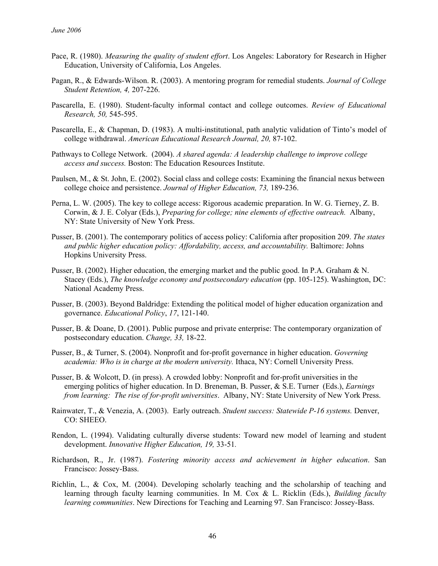- Pace, R. (1980). *Measuring the quality of student effort*. Los Angeles: Laboratory for Research in Higher Education, University of California, Los Angeles.
- Pagan, R., & Edwards-Wilson. R. (2003). A mentoring program for remedial students. *Journal of College Student Retention, 4,* 207-226.
- Pascarella, E. (1980). Student-faculty informal contact and college outcomes. *Review of Educational Research, 50,* 545-595.
- Pascarella, E., & Chapman, D. (1983). A multi-institutional, path analytic validation of Tinto's model of college withdrawal. *American Educational Research Journal, 20,* 87-102.
- Pathways to College Network. (2004). *A shared agenda: A leadership challenge to improve college access and success.* Boston: The Education Resources Institute.
- Paulsen, M., & St. John, E. (2002). Social class and college costs: Examining the financial nexus between college choice and persistence. *Journal of Higher Education, 73,* 189-236.
- Perna, L. W. (2005). The key to college access: Rigorous academic preparation. In W. G. Tierney, Z. B. Corwin, & J. E. Colyar (Eds.), *Preparing for college; nine elements of effective outreach.* Albany, NY: State University of New York Press.
- Pusser, B. (2001). The contemporary politics of access policy: California after proposition 209. *The states and public higher education policy: Affordability, access, and accountability.* Baltimore: Johns Hopkins University Press.
- Pusser, B. (2002). Higher education, the emerging market and the public good. In P.A. Graham & N. Stacey (Eds.), *The knowledge economy and postsecondary education* (pp. 105-125). Washington, DC: National Academy Press.
- Pusser, B. (2003). Beyond Baldridge: Extending the political model of higher education organization and governance. *Educational Policy*, *17*, 121-140.
- Pusser, B. & Doane, D. (2001). Public purpose and private enterprise: The contemporary organization of postsecondary education. *Change, 33,* 18-22.
- Pusser, B., & Turner, S. (2004). Nonprofit and for-profit governance in higher education. *Governing academia: Who is in charge at the modern university.* Ithaca, NY: Cornell University Press.
- Pusser, B. & Wolcott, D. (in press). A crowded lobby: Nonprofit and for-profit universities in the emerging politics of higher education. In D. Breneman, B. Pusser, & S.E. Turner (Eds.), *Earnings from learning: The rise of for-profit universities*. Albany, NY: State University of New York Press.
- Rainwater, T., & Venezia, A. (2003). Early outreach. *Student success: Statewide P-16 systems.* Denver, CO: SHEEO.
- Rendon, L. (1994). Validating culturally diverse students: Toward new model of learning and student development. *Innovative Higher Education, 19,* 33-51*.*
- Richardson, R., Jr. (1987). *Fostering minority access and achievement in higher education*. San Francisco: Jossey-Bass.
- Richlin, L., & Cox, M. (2004). Developing scholarly teaching and the scholarship of teaching and learning through faculty learning communities. In M. Cox & L. Ricklin (Eds.), *Building faculty learning communities*. New Directions for Teaching and Learning 97. San Francisco: Jossey-Bass.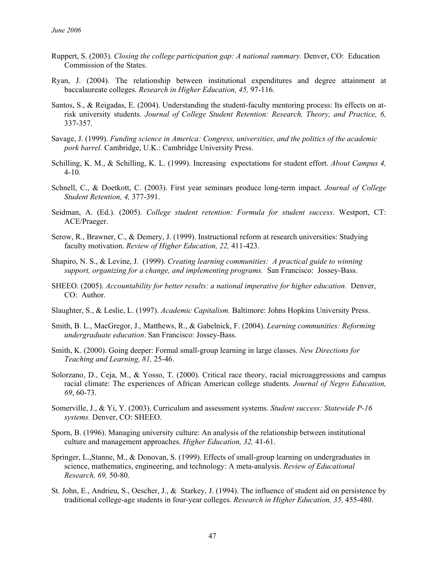- Ruppert, S. (2003). *Closing the college participation gap: A national summary.* Denver, CO: Education Commission of the States.
- Ryan, J. (2004). The relationship between institutional expenditures and degree attainment at baccalaureate colleges. *Research in Higher Education, 45,* 97-116.
- Santos, S., & Reigadas, E. (2004). Understanding the student-faculty mentoring process: Its effects on atrisk university students. *Journal of College Student Retention: Research, Theory, and Practice, 6,* 337-357.
- Savage, J. (1999). *Funding science in America: Congress, universities, and the politics of the academic pork barrel.* Cambridge, U.K.: Cambridge University Press.
- Schilling, K. M., & Schilling, K. L. (1999). Increasing expectations for student effort. *About Campus 4,*  4-10.
- Schnell, C., & Doetkott, C. (2003). First year seminars produce long-term impact. *Journal of College Student Retention, 4,* 377-391.
- Seidman, A. (Ed.). (2005). *College student retention: Formula for student success*. Westport, CT: ACE/Praeger.
- Serow, R., Brawner, C., & Demery, J. (1999). Instructional reform at research universities: Studying faculty motivation. *Review of Higher Education, 22,* 411-423.
- Shapiro, N. S., & Levine, J. (1999). *Creating learning communities: A practical guide to winning support, organizing for a change, and implementing programs.* San Francisco: Jossey-Bass.
- SHEEO. (2005). *Accountability for better results: a national imperative for higher education.* Denver, CO: Author.
- Slaughter, S., & Leslie, L. (1997). *Academic Capitalism.* Baltimore: Johns Hopkins University Press.
- Smith, B. L., MacGregor, J., Matthews, R., & Gabelnick, F. (2004). *Learning communities: Reforming undergraduate education*. San Francisco: Jossey-Bass.
- Smith, K. (2000). Going deeper: Formal small-group learning in large classes. *New Directions for Teaching and Learning, 81,* 25-46.
- Solorzano, D., Ceja, M., & Yosso, T. (2000). Critical race theory, racial microaggressions and campus racial climate: The experiences of African American college students. *Journal of Negro Education, 69*, 60-73.
- Somerville, J., & Yi, Y. (2003). Curriculum and assessment systems. *Student success: Statewide P-16 systems.* Denver, CO: SHEEO.
- Sporn, B. (1996). Managing university culture: An analysis of the relationship between institutional culture and management approaches. *Higher Education, 32,* 41-61.
- Springer, L.,Stanne, M., & Donovan, S. (1999). Effects of small-group learning on undergraduates in science, mathematics, engineering, and technology: A meta-analysis. *Review of Educational Research, 69,* 50-80.
- St. John, E., Andrieu, S., Oescher, J., & Starkey, J. (1994). The influence of student aid on persistence by traditional college-age students in four-year colleges. *Research in Higher Education, 35,* 455-480.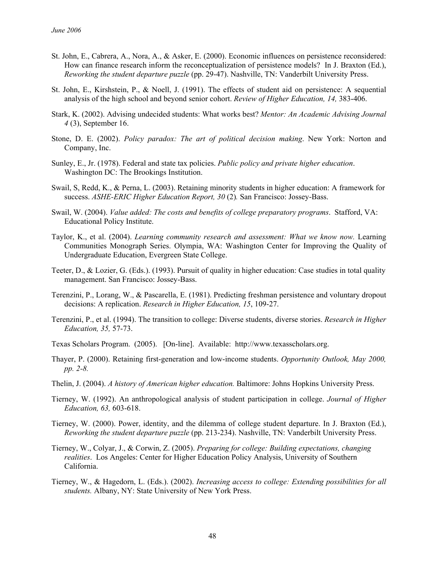- St. John, E., Cabrera, A., Nora, A., & Asker, E. (2000). Economic influences on persistence reconsidered: How can finance research inform the reconceptualization of persistence models? In J. Braxton (Ed.), *Reworking the student departure puzzle* (pp. 29-47). Nashville, TN: Vanderbilt University Press.
- St. John, E., Kirshstein, P., & Noell, J. (1991). The effects of student aid on persistence: A sequential analysis of the high school and beyond senior cohort. *Review of Higher Education, 14,* 383-406.
- Stark, K. (2002). Advising undecided students: What works best? *Mentor: An Academic Advising Journal 4* (3), September 16.
- Stone, D. E. (2002). *Policy paradox: The art of political decision making*. New York: Norton and Company, Inc.
- Sunley, E., Jr. (1978). Federal and state tax policies. *Public policy and private higher education*. Washington DC: The Brookings Institution.
- Swail, S, Redd, K., & Perna, L. (2003). Retaining minority students in higher education: A framework for success. *ASHE-ERIC Higher Education Report, 30* (2)*.* San Francisco: Jossey-Bass.
- Swail, W. (2004). *Value added: The costs and benefits of college preparatory programs*. Stafford, VA: Educational Policy Institute.
- Taylor, K., et al. (2004). *Learning community research and assessment: What we know now.* Learning Communities Monograph Series. Olympia, WA: Washington Center for Improving the Quality of Undergraduate Education, Evergreen State College.
- Teeter, D., & Lozier, G. (Eds.). (1993). Pursuit of quality in higher education: Case studies in total quality management. San Francisco: Jossey-Bass.
- Terenzini, P., Lorang, W., & Pascarella, E. (1981). Predicting freshman persistence and voluntary dropout decisions: A replication. *Research in Higher Education, 15*, 109-27.
- Terenzini, P., et al. (1994). The transition to college: Diverse students, diverse stories. *Research in Higher Education, 35,* 57-73.
- Texas Scholars Program. (2005). [On-line]. Available: http://www.texasscholars.org.
- Thayer, P. (2000). Retaining first-generation and low-income students. *Opportunity Outlook, May 2000, pp. 2-8.*
- Thelin, J. (2004). *A history of American higher education.* Baltimore: Johns Hopkins University Press.
- Tierney, W. (1992). An anthropological analysis of student participation in college. *Journal of Higher Education, 63,* 603-618.
- Tierney, W. (2000). Power, identity, and the dilemma of college student departure. In J. Braxton (Ed.), *Reworking the student departure puzzle* (pp. 213-234). Nashville, TN: Vanderbilt University Press.
- Tierney, W., Colyar, J., & Corwin, Z. (2005). *Preparing for college: Building expectations, changing realities*. Los Angeles: Center for Higher Education Policy Analysis, University of Southern California.
- Tierney, W., & Hagedorn, L. (Eds.). (2002). *Increasing access to college: Extending possibilities for all students.* Albany, NY: State University of New York Press.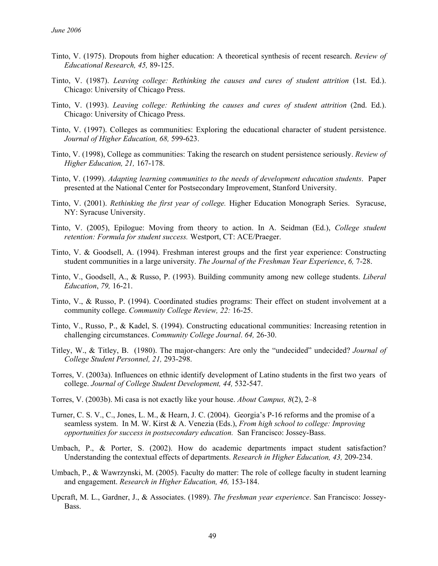- Tinto, V. (1975). Dropouts from higher education: A theoretical synthesis of recent research. *Review of Educational Research, 45,* 89-125.
- Tinto, V. (1987). *Leaving college: Rethinking the causes and cures of student attrition* (1st. Ed.). Chicago: University of Chicago Press.
- Tinto, V. (1993). *Leaving college: Rethinking the causes and cures of student attrition* (2nd. Ed.). Chicago: University of Chicago Press.
- Tinto, V. (1997). Colleges as communities: Exploring the educational character of student persistence. *Journal of Higher Education, 68,* 599-623.
- Tinto, V. (1998), College as communities: Taking the research on student persistence seriously. *Review of Higher Education, 21,* 167-178.
- Tinto, V. (1999). *Adapting learning communities to the needs of development education students*. Paper presented at the National Center for Postsecondary Improvement, Stanford University.
- Tinto, V. (2001). *Rethinking the first year of college.* Higher Education Monograph Series. Syracuse, NY: Syracuse University.
- Tinto, V. (2005), Epilogue: Moving from theory to action. In A. Seidman (Ed.), *College student retention: Formula for student success.* Westport, CT: ACE/Praeger.
- Tinto, V. & Goodsell, A. (1994). Freshman interest groups and the first year experience: Constructing student communities in a large university. *The Journal of the Freshman Year Experience*, *6,* 7-28.
- Tinto, V., Goodsell, A., & Russo, P. (1993). Building community among new college students. *Liberal Education*, *79,* 16-21.
- Tinto, V., & Russo, P. (1994). Coordinated studies programs: Their effect on student involvement at a community college. *Community College Review, 22:* 16-25.
- Tinto, V., Russo, P., & Kadel, S. (1994). Constructing educational communities: Increasing retention in challenging circumstances. *Community College Journal*. *64,* 26-30.
- Titley, W., & Titley, B. (1980). The major-changers: Are only the "undecided" undecided? *Journal of College Student Personnel, 21,* 293-298.
- Torres, V. (2003a). Influences on ethnic identify development of Latino students in the first two years of college. *Journal of College Student Development, 44,* 532-547.
- Torres, V. (2003b). Mi casa is not exactly like your house. *About Campus, 8*(2), 2–8
- Turner, C. S. V., C., Jones, L. M., & Hearn, J. C. (2004). Georgia's P-16 reforms and the promise of a seamless system. In M. W. Kirst & A. Venezia (Eds.), *From high school to college: Improving opportunities for success in postsecondary education.* San Francisco: Jossey-Bass.
- Umbach, P., & Porter, S. (2002). How do academic departments impact student satisfaction? Understanding the contextual effects of departments. *Research in Higher Education, 43,* 209-234.
- Umbach, P., & Wawrzynski, M. (2005). Faculty do matter: The role of college faculty in student learning and engagement. *Research in Higher Education, 46,* 153-184.
- Upcraft, M. L., Gardner, J., & Associates. (1989). *The freshman year experience*. San Francisco: Jossey-Bass.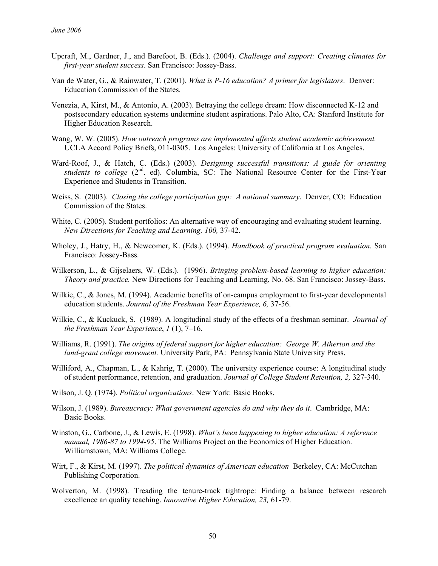- Upcraft, M., Gardner, J., and Barefoot, B. (Eds.). (2004). *Challenge and support: Creating climates for first-year student success*. San Francisco: Jossey-Bass.
- Van de Water, G., & Rainwater, T. (2001). *What is P-16 education? A primer for legislators*. Denver: Education Commission of the States.
- Venezia, A, Kirst, M., & Antonio, A. (2003). Betraying the college dream: How disconnected K-12 and postsecondary education systems undermine student aspirations. Palo Alto, CA: Stanford Institute for Higher Education Research.
- Wang, W. W. (2005). *How outreach programs are implemented affects student academic achievement.*  UCLA Accord Policy Briefs, 011-0305. Los Angeles: University of California at Los Angeles.
- Ward-Roof, J., & Hatch, C. (Eds.) (2003). *Designing successful transitions: A guide for orienting students to college* (2<sup>nd</sup>. ed). Columbia, SC: The National Resource Center for the First-Year Experience and Students in Transition.
- Weiss, S. (2003). *Closing the college participation gap: A national summary*. Denver, CO: Education Commission of the States.
- White, C. (2005). Student portfolios: An alternative way of encouraging and evaluating student learning. *New Directions for Teaching and Learning, 100,* 37-42.
- Wholey, J., Hatry, H., & Newcomer, K. (Eds.). (1994). *Handbook of practical program evaluation.* San Francisco: Jossey-Bass.
- Wilkerson, L., & Gijselaers, W. (Eds.). (1996). *Bringing problem-based learning to higher education: Theory and practice.* New Directions for Teaching and Learning, No. 68. San Francisco: Jossey-Bass.
- Wilkie, C., & Jones, M. (1994). Academic benefits of on-campus employment to first-year developmental education students. *Journal of the Freshman Year Experience, 6,* 37-56.
- Wilkie, C., & Kuckuck, S. (1989). A longitudinal study of the effects of a freshman seminar. *Journal of the Freshman Year Experience*, *1* (1), 7–16.
- Williams, R. (1991). *The origins of federal support for higher education: George W. Atherton and the land-grant college movement.* University Park, PA: Pennsylvania State University Press.
- Williford, A., Chapman, L., & Kahrig, T. (2000). The university experience course: A longitudinal study of student performance, retention, and graduation. *Journal of College Student Retention, 2,* 327-340.
- Wilson, J. Q. (1974). *Political organizations*. New York: Basic Books.
- Wilson, J. (1989). *Bureaucracy: What government agencies do and why they do it*. Cambridge, MA: Basic Books.
- Winston, G., Carbone, J., & Lewis, E. (1998). *What's been happening to higher education: A reference manual, 1986-87 to 1994-95*. The Williams Project on the Economics of Higher Education. Williamstown, MA: Williams College.
- Wirt, F., & Kirst, M. (1997). *The political dynamics of American education* Berkeley, CA: McCutchan Publishing Corporation.
- Wolverton, M. (1998). Treading the tenure-track tightrope: Finding a balance between research excellence an quality teaching. *Innovative Higher Education, 23,* 61-79.